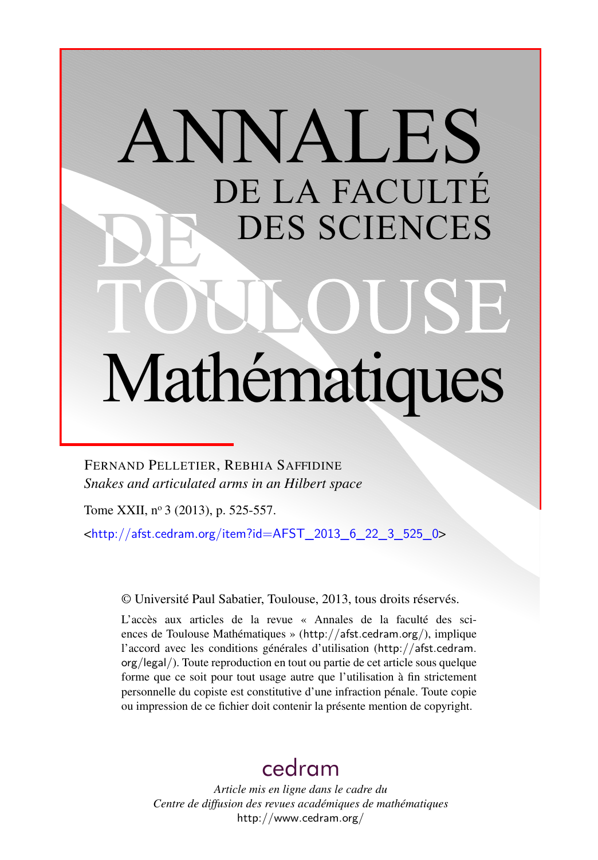# ANNALES DE LA FACULTÉ DES SCIENCES Mathématiques

FERNAND PELLETIER, REBHIA SAFFIDINE *Snakes and articulated arms in an Hilbert space*

Tome XXII, nº 3 (2013), p. 525-557.

 $\text{chttp:}/\text{/afst.cedram.org/item?id=AFST}$  2013 6 22 3 525 0>

© Université Paul Sabatier, Toulouse, 2013, tous droits réservés.

L'accès aux articles de la revue « Annales de la faculté des sciences de Toulouse Mathématiques » (<http://afst.cedram.org/>), implique l'accord avec les conditions générales d'utilisation ([http://afst.cedram.](http://afst.cedram.org/legal/) [org/legal/](http://afst.cedram.org/legal/)). Toute reproduction en tout ou partie de cet article sous quelque forme que ce soit pour tout usage autre que l'utilisation à fin strictement personnelle du copiste est constitutive d'une infraction pénale. Toute copie ou impression de ce fichier doit contenir la présente mention de copyright.

# [cedram](http://www.cedram.org/)

*Article mis en ligne dans le cadre du Centre de diffusion des revues académiques de mathématiques* <http://www.cedram.org/>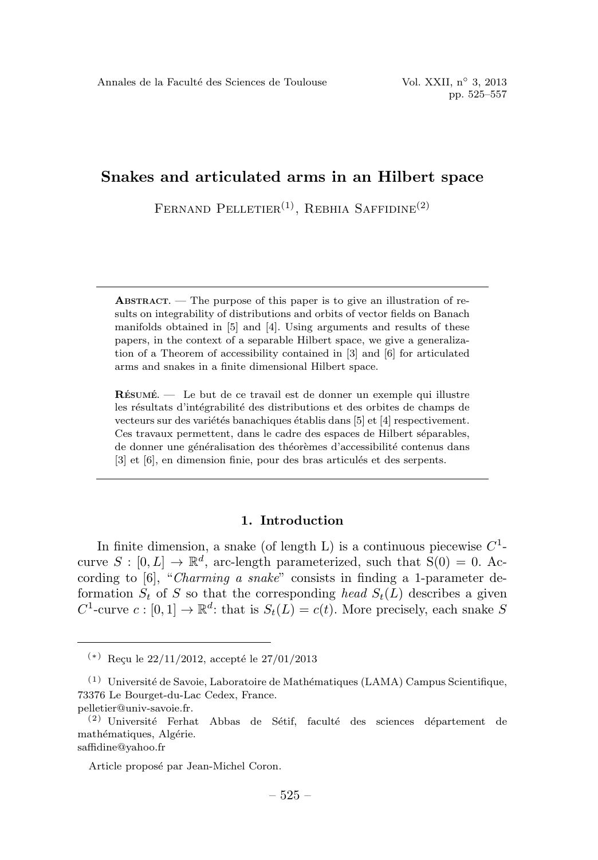FERNAND PELLETIER<sup>(1)</sup>, REBHIA SAFFIDINE<sup>(2)</sup>

ABSTRACT. — The purpose of this paper is to give an illustration of results on integrability of distributions and orbits of vector fields on Banach manifolds obtained in [5] and [4]. Using arguments and results of these papers, in the context of a separable Hilbert space, we give a generalization of a Theorem of accessibility contained in [3] and [6] for articulated arms and snakes in a finite dimensional Hilbert space.

RÉSUMÉ. — Le but de ce travail est de donner un exemple qui illustre les résultats d'intégrabilité des distributions et des orbites de champs de vecteurs sur des variétés banachiques établis dans [5] et [4] respectivement. Ces travaux permettent, dans le cadre des espaces de Hilbert séparables, de donner une généralisation des théorèmes d'accessibilité contenus dans [3] et [6], en dimension finie, pour des bras articulés et des serpents.

# 1. Introduction

In finite dimension, a snake (of length L) is a continuous piecewise  $C^1$ curve  $S : [0, L] \to \mathbb{R}^d$ , arc-length parameterized, such that  $S(0) = 0$ . According to [6], "Charming a snake" consists in finding a 1-parameter deformation  $S_t$  of S so that the corresponding head  $S_t(L)$  describes a given  $C^1$ -curve  $c : [0,1] \to \mathbb{R}^d$ : that is  $S_t(L) = c(t)$ . More precisely, each snake S

 $(*)$  Reçu le 22/11/2012, accepté le 27/01/2013

 $(1)$  Université de Savoie, Laboratoire de Mathématiques (LAMA) Campus Scientifique, 73376 Le Bourget-du-Lac Cedex, France.

pelletier@univ-savoie.fr.

 $(2)$  Université Ferhat Abbas de Sétif, faculté des sciences département de mathématiques, Algérie. saffidine@yahoo.fr

Article proposé par Jean-Michel Coron.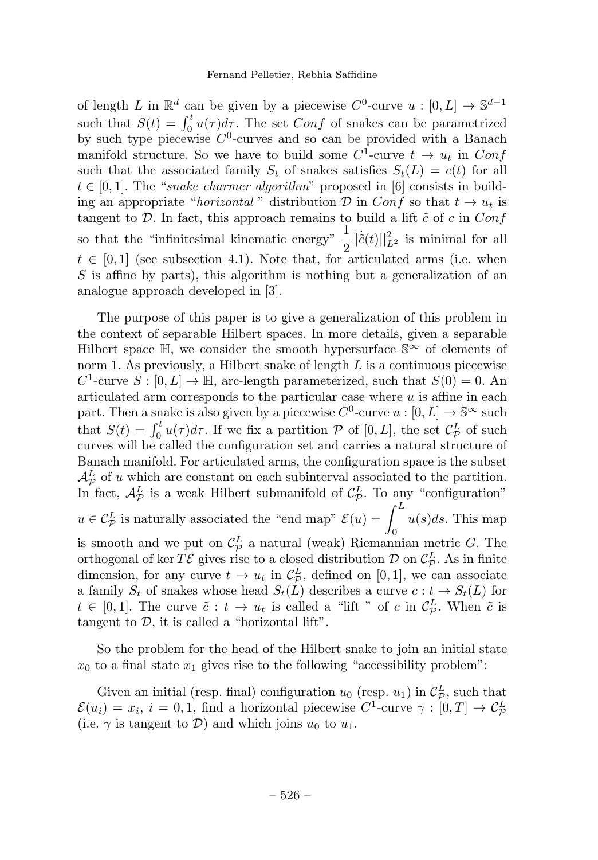of length L in  $\mathbb{R}^d$  can be given by a piecewise  $C^0$ -curve  $u : [0, L] \to \mathbb{S}^{d-1}$ such that  $S(t) = \int_0^t u(\tau) d\tau$ . The set Conf of snakes can be parametrized by such type piecewise  $C^0$ -curves and so can be provided with a Banach manifold structure. So we have to build some  $C^1$ -curve  $t \to u_t$  in Conf such that the associated family  $S_t$  of snakes satisfies  $S_t(L) = c(t)$  for all  $t \in [0, 1]$ . The "snake charmer algorithm" proposed in [6] consists in building an appropriate "horizontal" distribution D in Conf so that  $t \to u_t$  is tangent to  $D$ . In fact, this approach remains to build a lift  $\tilde{c}$  of  $c$  in  $Conf$ so that the "infinitesimal kinematic energy"  $\frac{1}{2}||\dot{\tilde{c}}(t)||_{L^2}^2$  is minimal for all  $t \in [0,1]$  (see subsection 4.1). Note that, for articulated arms (i.e. when S is affine by parts), this algorithm is nothing but a generalization of an analogue approach developed in [3].

The purpose of this paper is to give a generalization of this problem in the context of separable Hilbert spaces. In more details, given a separable Hilbert space  $\mathbb{H}$ , we consider the smooth hypersurface  $\mathbb{S}^{\infty}$  of elements of norm 1. As previously, a Hilbert snake of length  $L$  is a continuous piecewise C<sup>1</sup>-curve  $S : [0, L] \to \mathbb{H}$ , arc-length parameterized, such that  $S(0) = 0$ . An articulated arm corresponds to the particular case where  $u$  is affine in each part. Then a snake is also given by a piecewise  $C^0$ -curve  $u : [0, L] \to \mathbb{S}^\infty$  such that  $S(t) = \int_0^t u(\tau) d\tau$ . If we fix a partition  $\mathcal P$  of  $[0, L]$ , the set  $\mathcal{C}_{\mathcal P}^L$  of such curves will be called the configuration set and carries a natural structure of Banach manifold. For articulated arms, the configuration space is the subset  $\mathcal{A}_{\mathcal{P}}^L$  of u which are constant on each subinterval associated to the partition. In fact,  $\mathcal{A}_{\mathcal{P}}^L$  is a weak Hilbert submanifold of  $\mathcal{C}_{\mathcal{P}}^L$ . To any "configuration"  $u \in \mathcal{C}_{\mathcal{P}}^{L}$  is naturally associated the "end map"  $\mathcal{E}(u) = \int_{0}^{L}$  $u(s)ds$ . This map is smooth and we put on  $\mathcal{C}_{\mathcal{P}}^L$  a natural (weak) Riemannian metric G. The orthogonal of ker  $T\mathcal{E}$  gives rise to a closed distribution  $\mathcal{D}$  on  $\mathcal{C}_{\mathcal{P}}^L$ . As in finite dimension, for any curve  $t \to u_t$  in  $C_L^L$ , defined on [0, 1], we can associate a family  $S_t$  of snakes whose head  $S_t(L)$  describes a curve  $c : t \to S_t(L)$  for  $t \in [0,1]$ . The curve  $\tilde{c}: t \to u_t$  is called a "lift " of c in  $\mathcal{C}_{\mathcal{P}}^L$ . When  $\tilde{c}$  is tangent to  $\mathcal{D}$ , it is called a "horizontal lift".

So the problem for the head of the Hilbert snake to join an initial state  $x_0$  to a final state  $x_1$  gives rise to the following "accessibility problem":

Given an initial (resp. final) configuration  $u_0$  (resp.  $u_1$ ) in  $\mathcal{C}_{\mathcal{P}}^L$ , such that  $\mathcal{E}(u_i) = x_i, i = 0, 1$ , find a horizontal piecewise  $C^1$ -curve  $\gamma : [0, T] \to \mathcal{C}_{\mathcal{P}}^L$ (i.e.  $\gamma$  is tangent to D) and which joins  $u_0$  to  $u_1$ .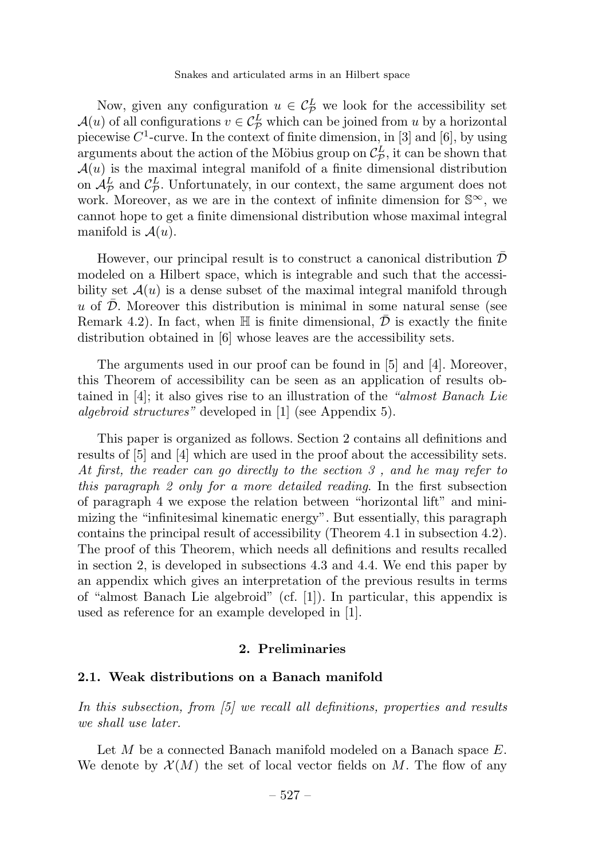Now, given any configuration  $u \in \mathcal{C}_{\mathcal{P}}^L$  we look for the accessibility set  $\mathcal{A}(u)$  of all configurations  $v \in C^L_{\mathcal{P}}$  which can be joined from u by a horizontal piecewise  $C^1$ -curve. In the context of finite dimension, in [3] and [6], by using arguments about the action of the Möbius group on  $\mathcal{C}_{\mathcal{D}}^L$ , it can be shown that  $\mathcal{A}(u)$  is the maximal integral manifold of a finite dimensional distribution on  $\mathcal{A}_{\mathcal{P}}^L$  and  $\mathcal{C}_{\mathcal{P}}^L$ . Unfortunately, in our context, the same argument does not work. Moreover, as we are in the context of infinite dimension for  $\mathbb{S}^{\infty}$ , we cannot hope to get a finite dimensional distribution whose maximal integral manifold is  $\mathcal{A}(u)$ .

However, our principal result is to construct a canonical distribution  $\mathcal D$ modeled on a Hilbert space, which is integrable and such that the accessibility set  $\mathcal{A}(u)$  is a dense subset of the maximal integral manifold through  $u$  of  $\mathcal{D}$ . Moreover this distribution is minimal in some natural sense (see Remark 4.2). In fact, when  $\mathbb H$  is finite dimensional,  $\mathcal D$  is exactly the finite distribution obtained in [6] whose leaves are the accessibility sets.

The arguments used in our proof can be found in [5] and [4]. Moreover, this Theorem of accessibility can be seen as an application of results obtained in  $[4]$ ; it also gives rise to an illustration of the "almost Banach Lie algebroid structures" developed in [1] (see Appendix 5).

This paper is organized as follows. Section 2 contains all definitions and results of [5] and [4] which are used in the proof about the accessibility sets. At first, the reader can go directly to the section 3 , and he may refer to this paragraph 2 only for a more detailed reading. In the first subsection of paragraph 4 we expose the relation between "horizontal lift" and minimizing the "infinitesimal kinematic energy". But essentially, this paragraph contains the principal result of accessibility (Theorem 4.1 in subsection 4.2). The proof of this Theorem, which needs all definitions and results recalled in section 2, is developed in subsections 4.3 and 4.4. We end this paper by an appendix which gives an interpretation of the previous results in terms of "almost Banach Lie algebroid" (cf. [1]). In particular, this appendix is used as reference for an example developed in [1].

# 2. Preliminaries

#### 2.1. Weak distributions on a Banach manifold

In this subsection, from [5] we recall all definitions, properties and results we shall use later.

Let M be a connected Banach manifold modeled on a Banach space E. We denote by  $\mathcal{X}(M)$  the set of local vector fields on M. The flow of any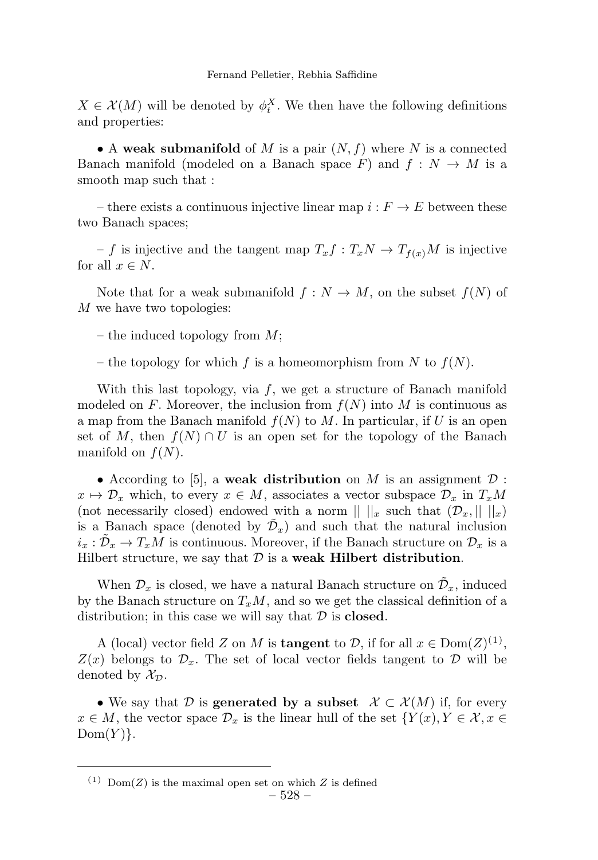$X \in \mathcal{X}(M)$  will be denoted by  $\phi_t^X$ . We then have the following definitions and properties:

• A weak submanifold of M is a pair  $(N, f)$  where N is a connected Banach manifold (modeled on a Banach space F) and  $f: N \to M$  is a smooth map such that :

– there exists a continuous injective linear map  $i : F \to E$  between these two Banach spaces;

– f is injective and the tangent map  $T_x f : T_x N \to T_{f(x)} M$  is injective for all  $x \in N$ .

Note that for a weak submanifold  $f: N \to M$ , on the subset  $f(N)$  of M we have two topologies:

– the induced topology from  $M$ ;

– the topology for which f is a homeomorphism from N to  $f(N)$ .

With this last topology, via  $f$ , we get a structure of Banach manifold modeled on F. Moreover, the inclusion from  $f(N)$  into M is continuous as a map from the Banach manifold  $f(N)$  to M. In particular, if U is an open set of M, then  $f(N) \cap U$  is an open set for the topology of the Banach manifold on  $f(N)$ .

• According to [5], a weak distribution on M is an assignment  $\mathcal D$ :  $x \mapsto \mathcal{D}_x$  which, to every  $x \in M$ , associates a vector subspace  $\mathcal{D}_x$  in  $T_xM$ (not necessarily closed) endowed with a norm  $|| ||_x$  such that  $(\mathcal{D}_x, || ||_x)$ is a Banach space (denoted by  $\tilde{\mathcal{D}}_x$ ) and such that the natural inclusion  $i_x : \mathcal{D}_x \to T_xM$  is continuous. Moreover, if the Banach structure on  $\mathcal{D}_x$  is a Hilbert structure, we say that  $D$  is a weak Hilbert distribution.

When  $\mathcal{D}_x$  is closed, we have a natural Banach structure on  $\mathcal{D}_x$ , induced by the Banach structure on  $T_xM$ , and so we get the classical definition of a distribution; in this case we will say that  $D$  is **closed**.

A (local) vector field Z on M is **tangent** to D, if for all  $x \in \text{Dom}(Z)^{(1)}$ ,  $Z(x)$  belongs to  $\mathcal{D}_x$ . The set of local vector fields tangent to  $\mathcal D$  will be denoted by  $\mathcal{X}_{\mathcal{D}}$ .

• We say that D is **generated by a subset**  $\mathcal{X} \subset \mathcal{X}(M)$  if, for every  $x \in M$ , the vector space  $\mathcal{D}_x$  is the linear hull of the set  $\{Y(x), Y \in \mathcal{X}, x \in$  $Dom(Y)$ .

<sup>&</sup>lt;sup>(1)</sup> Dom(Z) is the maximal open set on which Z is defined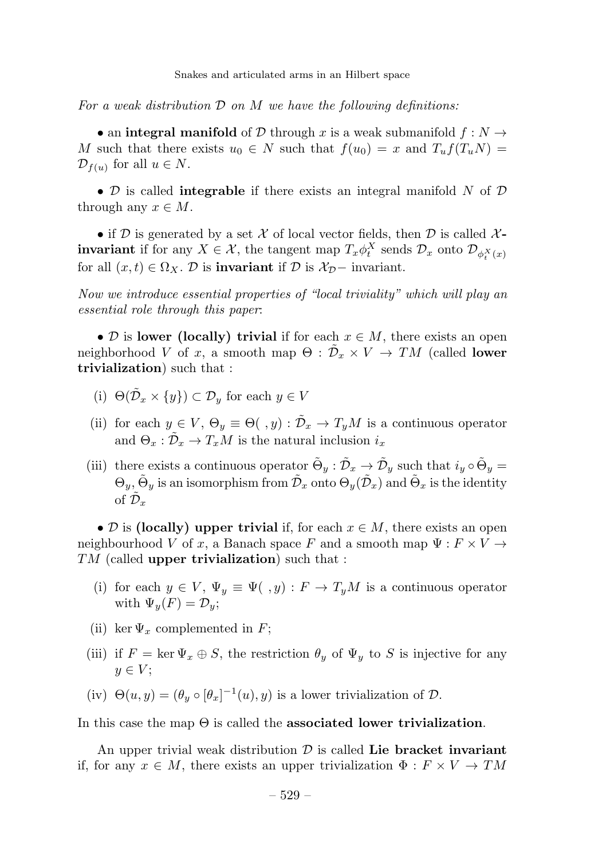For a weak distribution  $D$  on  $M$  we have the following definitions:

• an integral manifold of D through x is a weak submanifold  $f: N \rightarrow$ M such that there exists  $u_0 \in N$  such that  $f(u_0) = x$  and  $T_u f(T_u N) =$  $\mathcal{D}_{f(u)}$  for all  $u \in N$ .

•  $\mathcal D$  is called **integrable** if there exists an integral manifold N of  $\mathcal D$ through any  $x \in M$ .

• if D is generated by a set X of local vector fields, then D is called  $X$ **invariant** if for any  $X \in \mathcal{X}$ , the tangent map  $T_x \phi_t^X$  sends  $\mathcal{D}_x$  onto  $\mathcal{D}_{\phi_t^X(x)}$ for all  $(x, t) \in \Omega_X$ . D is **invariant** if D is  $\mathcal{X}_{\mathcal{D}}$  invariant.

Now we introduce essential properties of "local triviality" which will play an essential role through this paper:

• D is lower (locally) trivial if for each  $x \in M$ , there exists an open neighborhood V of x, a smooth map  $\Theta : \mathcal{D}_x \times V \to TM$  (called lower trivialization) such that :

- (i)  $\Theta(\tilde{\mathcal{D}}_x \times \{y\}) \subset \mathcal{D}_y$  for each  $y \in V$
- (ii) for each  $y \in V$ ,  $\Theta_y \equiv \Theta( ,y) : \tilde{\mathcal{D}}_x \to T_yM$  is a continuous operator and  $\Theta_x : \tilde{\mathcal{D}}_x \to T_xM$  is the natural inclusion  $i_x$
- (iii) there exists a continuous operator  $\tilde{\Theta}_y : \tilde{\mathcal{D}}_x \to \tilde{\mathcal{D}}_y$  such that  $i_y \circ \tilde{\Theta}_y =$  $\Theta_y$ ,  $\tilde{\Theta}_y$  is an isomorphism from  $\tilde{\mathcal{D}}_x$  onto  $\Theta_y(\tilde{\mathcal{D}}_x)$  and  $\tilde{\Theta}_x$  is the identity of  $\mathcal{D}_x$

• D is (locally) upper trivial if, for each  $x \in M$ , there exists an open neighbourhood V of x, a Banach space F and a smooth map  $\Psi: F \times V \rightarrow$  $TM$  (called upper trivialization) such that :

- (i) for each  $y \in V$ ,  $\Psi_y \equiv \Psi( ,y) : F \to T_yM$  is a continuous operator with  $\Psi_u(F) = D_u$ ;
- (ii) ker  $\Psi_x$  complemented in F;
- (iii) if  $F = \ker \Psi_x \oplus S$ , the restriction  $\theta_y$  of  $\Psi_y$  to S is injective for any  $y \in V$ :
- (iv)  $\Theta(u, y) = (\theta_y \circ [\theta_x]^{-1}(u), y)$  is a lower trivialization of  $D$ .

In this case the map  $\Theta$  is called the **associated lower trivialization**.

An upper trivial weak distribution  $\mathcal D$  is called Lie bracket invariant if, for any  $x \in M$ , there exists an upper trivialization  $\Phi : F \times V \to TM$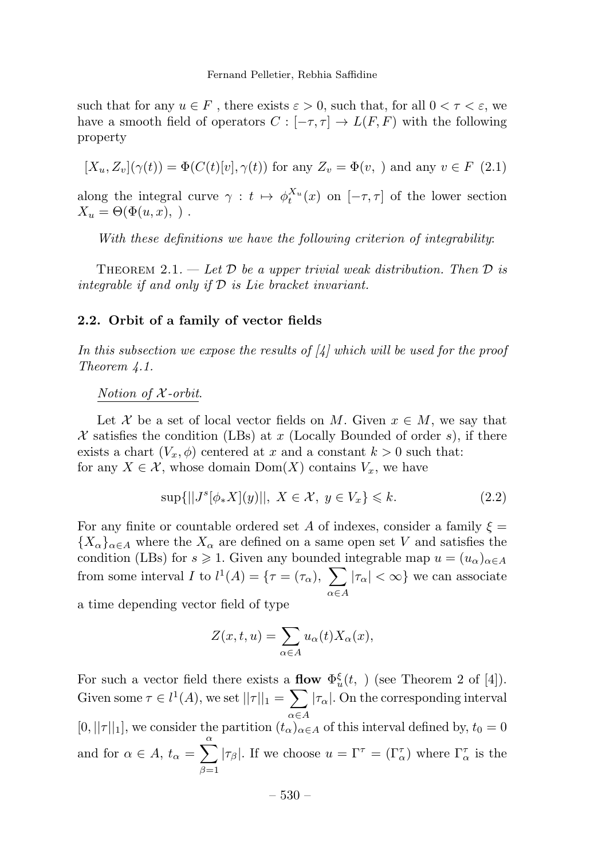such that for any  $u \in F$ , there exists  $\varepsilon > 0$ , such that, for all  $0 < \tau < \varepsilon$ , we have a smooth field of operators  $C : [-\tau, \tau] \to L(F, F)$  with the following property

 $[X_u, Z_v](\gamma(t)) = \Phi(C(t)[v], \gamma(t))$  for any  $Z_v = \Phi(v, \gamma)$  and any  $v \in F(2.1)$ 

along the integral curve  $\gamma : t \mapsto \phi_t^{X_u}(x)$  on  $[-\tau, \tau]$  of the lower section  $X_u = \Theta(\Phi(u, x), \cdot).$ 

With these definitions we have the following criterion of integrability:

THEOREM 2.1. — Let  $\mathcal D$  be a upper trivial weak distribution. Then  $\mathcal D$  is integrable if and only if  $D$  is Lie bracket invariant.

# 2.2. Orbit of a family of vector fields

In this subsection we expose the results of  $\mathcal{A}$  which will be used for the proof Theorem 4.1.

Notion of X -orbit.

Let X be a set of local vector fields on M. Given  $x \in M$ , we say that X satisfies the condition (LBs) at x (Locally Bounded of order s), if there exists a chart  $(V_x, \phi)$  centered at x and a constant  $k > 0$  such that: for any  $X \in \mathcal{X}$ , whose domain  $Dom(X)$  contains  $V_x$ , we have

$$
\sup\{||J^s[\phi_* X](y)||, \ X \in \mathcal{X}, \ y \in V_x\} \le k. \tag{2.2}
$$

For any finite or countable ordered set A of indexes, consider a family  $\xi =$  ${X_{\alpha}}_{\alpha\in A}$  where the  $X_{\alpha}$  are defined on a same open set V and satisfies the condition (LBs) for  $s \geq 1$ . Given any bounded integrable map  $u = (u_{\alpha})_{\alpha \in A}$ from some interval I to  $l^1(A) = \{ \tau = (\tau_\alpha), \sum_{\alpha} \tau_\alpha \}$  $\alpha \in A$  $|\tau_{\alpha}| < \infty$ } we can associate

a time depending vector field of type

$$
Z(x,t,u) = \sum_{\alpha \in A} u_{\alpha}(t) X_{\alpha}(x),
$$

For such a vector field there exists a **flow**  $\Phi_u^{\xi}(t, \cdot)$  (see Theorem 2 of [4]). Given some  $\tau \in l^1(A)$ , we set  $||\tau||_1 = \sum$  $\alpha \in A$  $|\tau_{\alpha}|$ . On the corresponding interval  $[0, ||\tau||_1]$ , we consider the partition  $(t_\alpha)_{\alpha \in A}$  of this interval defined by,  $t_0 = 0$ and for  $\alpha \in A$ ,  $t_{\alpha} = \sum^{\alpha}$  $\beta=1$  $|\tau_{\beta}|$ . If we choose  $u = \Gamma^{\tau} = (\Gamma^{\tau}_{\alpha})$  where  $\Gamma^{\tau}_{\alpha}$  is the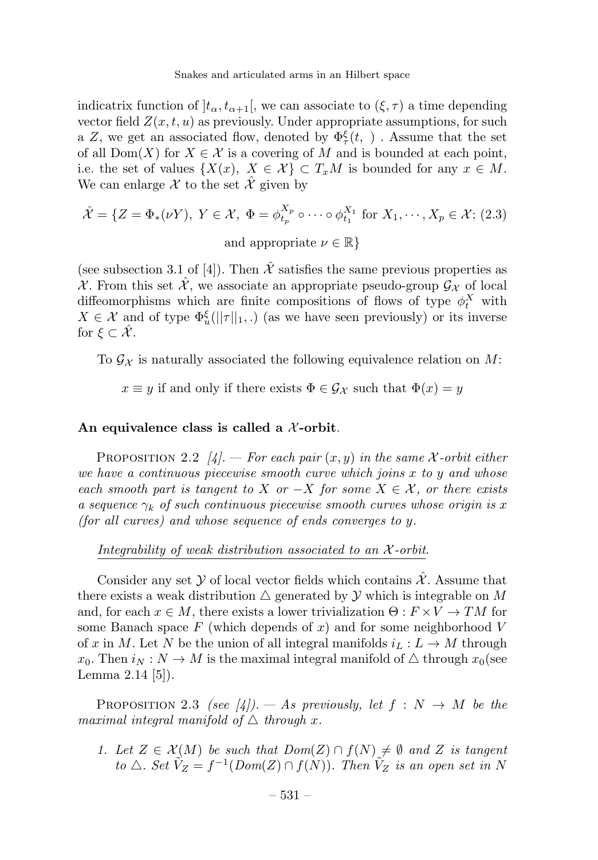indicatrix function of  $|t_{\alpha}, t_{\alpha+1}|$ , we can associate to  $(\xi, \tau)$  a time depending vector field  $Z(x, t, u)$  as previously. Under appropriate assumptions, for such a Z, we get an associated flow, denoted by  $\Phi_{\tau}^{\xi}(t, \cdot)$  . Assume that the set of all  $Dom(X)$  for  $X \in \mathcal{X}$  is a covering of M and is bounded at each point, i.e. the set of values  $\{X(x), X \in \mathcal{X}\}\subset T_xM$  is bounded for any  $x \in M$ . We can enlarge X to the set  $\hat{\mathcal{X}}$  given by

$$
\hat{\mathcal{X}} = \{ Z = \Phi_*(\nu Y), \ Y \in \mathcal{X}, \ \Phi = \phi_{t_p}^{X_p} \circ \cdots \circ \phi_{t_1}^{X_1} \text{ for } X_1, \cdots, X_p \in \mathcal{X}; \ (2.3)
$$
  
and appropriate  $\nu \in \mathbb{R} \}$ 

(see subsection 3.1 of [4]). Then  $\hat{\mathcal{X}}$  satisfies the same previous properties as X. From this set  $\hat{\mathcal{X}}$ , we associate an appropriate pseudo-group  $\mathcal{G}_{\mathcal{X}}$  of local diffeomorphisms which are finite compositions of flows of type  $\phi_t^X$  with  $X \in \mathcal{X}$  and of type  $\Phi_u^{\xi}(\|\tau\|_1,.)$  (as we have seen previously) or its inverse for  $\xi \subset \hat{\mathcal{X}}$ .

To  $\mathcal{G}_{\mathcal{X}}$  is naturally associated the following equivalence relation on M:

 $x \equiv y$  if and only if there exists  $\Phi \in \mathcal{G}_{\mathcal{X}}$  such that  $\Phi(x) = y$ 

# An equivalence class is called a  $\chi$ -orbit.

PROPOSITION 2.2  $[4]$ . – For each pair  $(x, y)$  in the same X-orbit either we have a continuous piecewise smooth curve which joins x to y and whose each smooth part is tangent to X or  $-X$  for some  $X \in \mathcal{X}$ , or there exists a sequence  $\gamma_k$  of such continuous piecewise smooth curves whose origin is x (for all curves) and whose sequence of ends converges to y.

Integrability of weak distribution associated to an  $\mathcal{X}$ -orbit.

Consider any set Y of local vector fields which contains  $\hat{\mathcal{X}}$ . Assume that there exists a weak distribution  $\Delta$  generated by  $\mathcal Y$  which is integrable on M and, for each  $x \in M$ , there exists a lower trivialization  $\Theta: F \times V \to TM$  for some Banach space F (which depends of x) and for some neighborhood V of x in M. Let N be the union of all integral manifolds  $i_L : L \to M$  through  $x_0$ . Then  $i_N : N \to M$  is the maximal integral manifold of  $\triangle$  through  $x_0$ (see Lemma 2.14 [5]).

PROPOSITION 2.3 (see [4]). — As previously, let  $f : N \to M$  be the maximal integral manifold of  $\triangle$  through x.

1. Let  $Z \in \mathcal{X}(M)$  be such that  $Dom(Z) \cap f(N) \neq \emptyset$  and Z is tangent to  $\triangle$ . Set  $\tilde{V}_Z = f^{-1}(Dom(Z) \cap f(N))$ . Then  $\tilde{V}_Z$  is an open set in N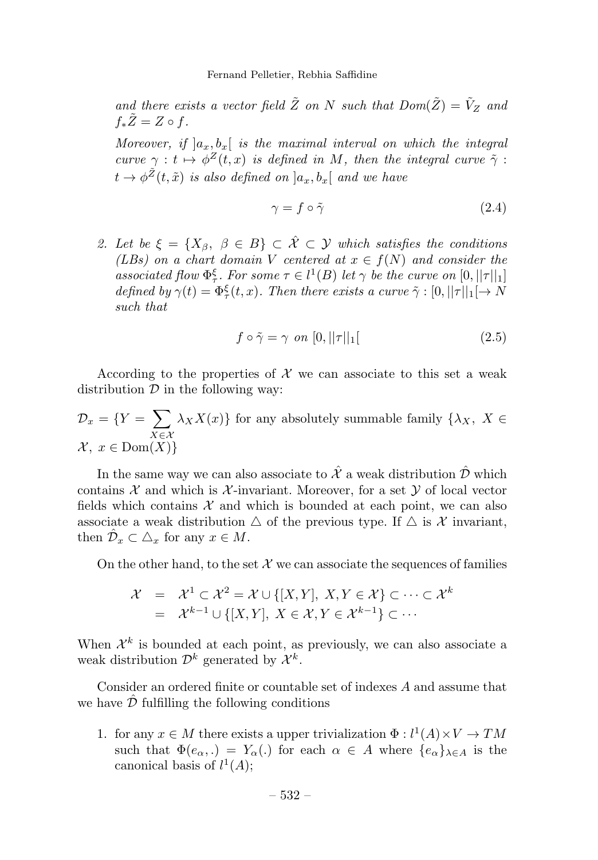and there exists a vector field  $\tilde{Z}$  on N such that  $Dom(\tilde{Z}) = \tilde{V}_Z$  and  $f_*\tilde{Z}=Z \circ f.$ 

Moreover, if  $]a_x, b_x[$  is the maximal interval on which the integral curve  $\gamma : t \mapsto \phi^Z(t, x)$  is defined in M, then the integral curve  $\tilde{\gamma}$ :  $t \rightarrow \phi^{\tilde{Z}}(t,\tilde{x})$  is also defined on  $]a_x,b_x[$  and we have

$$
\gamma = f \circ \tilde{\gamma} \tag{2.4}
$$

2. Let be  $\xi = \{X_\beta, \ \beta \in B\} \subset \hat{\mathcal{X}} \subset \hat{\mathcal{Y}}$  which satisfies the conditions (LBs) on a chart domain V centered at  $x \in f(N)$  and consider the associated flow  $\Phi_{\tau}^{\xi}$ . For some  $\tau \in l^1(B)$  let  $\gamma$  be the curve on  $[0, ||\tau||_1]$ defined by  $\gamma(t) = \Phi_{\tau}^{\xi}(t, x)$ . Then there exists a curve  $\tilde{\gamma} : [0, ||\tau||_1 \rightarrow N$ such that

$$
f \circ \tilde{\gamma} = \gamma \quad on \ [0, ||\tau||_1 \ [ \tag{2.5}
$$

According to the properties of  $X$  we can associate to this set a weak distribution  $D$  in the following way:

$$
\mathcal{D}_x = \{ Y = \sum_{X \in \mathcal{X}} \lambda_X X(x) \}
$$
 for any absolutely summable family  $\{ \lambda_X, X \in \mathcal{X}, x \in \text{Dom}(X) \}$ 

In the same way we can also associate to  $\hat{\mathcal{X}}$  a weak distribution  $\hat{\mathcal{D}}$  which contains  $\mathcal X$  and which is  $\mathcal X$ -invariant. Moreover, for a set  $\mathcal Y$  of local vector fields which contains  $\mathcal X$  and which is bounded at each point, we can also associate a weak distribution  $\Delta$  of the previous type. If  $\Delta$  is X invariant, then  $\hat{\mathcal{D}}_x \subset \triangle_x$  for any  $x \in M$ .

On the other hand, to the set  $\mathcal X$  we can associate the sequences of families

$$
\mathcal{X} = \mathcal{X}^1 \subset \mathcal{X}^2 = \mathcal{X} \cup \{ [X, Y], X, Y \in \mathcal{X} \} \subset \cdots \subset \mathcal{X}^k
$$
  
=  $\mathcal{X}^{k-1} \cup \{ [X, Y], X \in \mathcal{X}, Y \in \mathcal{X}^{k-1} \} \subset \cdots$ 

When  $\mathcal{X}^k$  is bounded at each point, as previously, we can also associate a weak distribution  $\mathcal{D}^k$  generated by  $\mathcal{X}^k$ .

Consider an ordered finite or countable set of indexes A and assume that we have  $\mathcal D$  fulfilling the following conditions

1. for any  $x \in M$  there exists a upper trivialization  $\Phi: l^1(A) \times V \to TM$ such that  $\Phi(e_{\alpha},.) = Y_{\alpha}(.)$  for each  $\alpha \in A$  where  $\{e_{\alpha}\}_{\lambda \in A}$  is the canonical basis of  $l^1(A)$ ;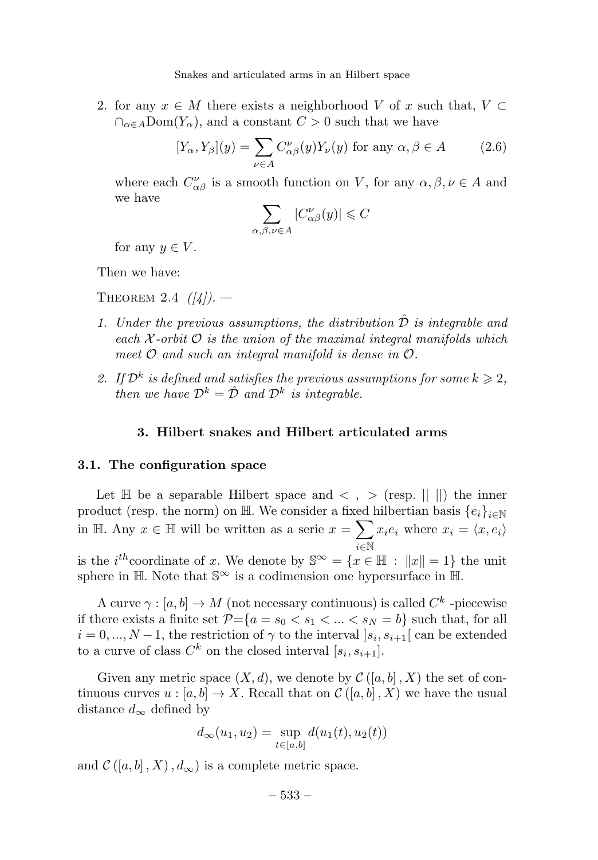2. for any  $x \in M$  there exists a neighborhood V of x such that,  $V \subset$  $\bigcap_{\alpha \in A} \text{Dom}(Y_{\alpha})$ , and a constant  $C > 0$  such that we have

$$
[Y_{\alpha}, Y_{\beta}](y) = \sum_{\nu \in A} C_{\alpha\beta}^{\nu}(y) Y_{\nu}(y) \text{ for any } \alpha, \beta \in A \qquad (2.6)
$$

where each  $C^{\nu}_{\alpha\beta}$  is a smooth function on V, for any  $\alpha, \beta, \nu \in A$  and we have

$$
\sum_{\alpha,\beta,\nu \in A} |C_{\alpha\beta}^{\nu}(y)| \leqslant C
$$

for any  $y \in V$ .

Then we have:

THEOREM 2.4  $(|4|)$ .

- 1. Under the previous assumptions, the distribution  $\hat{\mathcal{D}}$  is integrable and each  $\mathcal{X}$ -orbit  $\mathcal O$  is the union of the maximal integral manifolds which meet  $\mathcal O$  and such an integral manifold is dense in  $\mathcal O$ .
- 2. If  $\mathcal{D}^k$  is defined and satisfies the previous assumptions for some  $k \geqslant 2$ , then we have  $\mathcal{D}^k = \hat{\mathcal{D}}$  and  $\mathcal{D}^k$  is integrable.

#### 3. Hilbert snakes and Hilbert articulated arms

#### 3.1. The configuration space

Let  $\mathbb H$  be a separable Hilbert space and  $\langle , \rangle$  (resp.  $|| \ ||$ ) the inner product (resp. the norm) on H. We consider a fixed hilbertian basis  $\{e_i\}_{i\in\mathbb{N}}$ in H. Any  $x \in \mathbb{H}$  will be written as a serie  $x = \sum x_i e_i$  where  $x_i = \langle x, e_i \rangle$ i∈N is the *i*<sup>th</sup>coordinate of x. We denote by  $\mathbb{S}^{\infty} = \{x \in \mathbb{H} : ||x|| = 1\}$  the unit sphere in  $\mathbb{H}$ . Note that  $\mathbb{S}^{\infty}$  is a codimension one hypersurface in  $\mathbb{H}$ .

A curve  $\gamma : [a, b] \to M$  (not necessary continuous) is called  $C^k$  -piecewise if there exists a finite set  $P = \{a = s_0 < s_1 < \ldots < s_N = b\}$  such that, for all  $i = 0, ..., N-1$ , the restriction of  $\gamma$  to the interval  $|s_i, s_{i+1}|$  can be extended to a curve of class  $C^k$  on the closed interval  $[s_i, s_{i+1}]$ .

Given any metric space  $(X, d)$ , we denote by  $\mathcal{C}([a, b], X)$  the set of continuous curves  $u : [a, b] \to X$ . Recall that on  $\mathcal{C}([a, b], X)$  we have the usual distance  $d_{\infty}$  defined by

$$
d_{\infty}(u_1, u_2) = \sup_{t \in [a, b]} d(u_1(t), u_2(t))
$$

and  $\mathcal{C}([a, b], X), d_{\infty})$  is a complete metric space.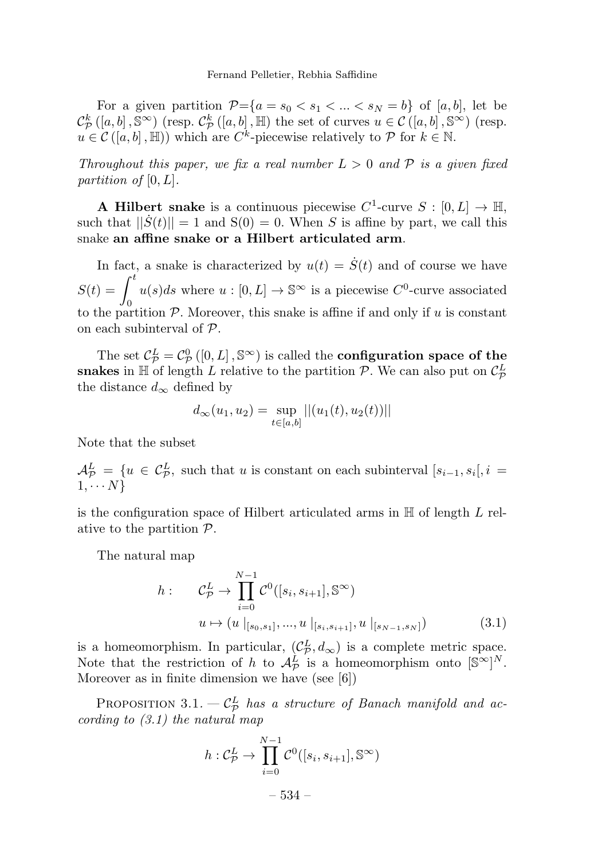Fernand Pelletier, Rebhia Saffidine

For a given partition  $\mathcal{P}=\{a=s_0 < s_1 < \ldots < s_N = b\}$  of  $[a, b]$ , let be  $\mathcal{C}_{\mathcal{P}}^{k}([a, b], \mathbb{S}^{\infty})$  (resp.  $\mathcal{C}_{\mathcal{P}}^{k}([a, b], \mathbb{H})$  the set of curves  $u \in \mathcal{C}([a, b], \mathbb{S}^{\infty})$  (resp.  $u \in \mathcal{C}([a, b], \mathbb{H})$  which are  $C^k$ -piecewise relatively to  $\mathcal{P}$  for  $k \in \mathbb{N}$ .

Throughout this paper, we fix a real number  $L > 0$  and  $P$  is a given fixed partition of [0, L].

A Hilbert snake is a continuous piecewise  $C^1$ -curve  $S : [0, L] \to \mathbb{H}$ , such that  $||\dot{S}(t)|| = 1$  and  $S(0) = 0$ . When S is affine by part, we call this snake an affine snake or a Hilbert articulated arm.

In fact, a snake is characterized by  $u(t) = \dot{S}(t)$  and of course we have  $S(t) = \int_0^t$  $u(s)ds$  where  $u : [0, L] \to \mathbb{S}^{\infty}$  is a piecewise  $C^0$ -curve associated to the partition  $P$ . Moreover, this snake is affine if and only if u is constant on each subinterval of P.

The set  $C_P^L = C_P^0$  ([0, L],  $\mathbb{S}^{\infty}$ ) is called the **configuration space of the** snakes in  $\mathbb H$  of length L relative to the partition  $\mathcal P$ . We can also put on  $\mathcal C_{\mathcal P}^L$ the distance  $d_{\infty}$  defined by

$$
d_{\infty}(u_1, u_2) = \sup_{t \in [a, b]} ||(u_1(t), u_2(t))||
$$

Note that the subset

 $\mathcal{A}_{\mathcal{P}}^L = \{u \in C_{\mathcal{P}}^L$ , such that u is constant on each subinterval  $[s_{i-1}, s_i], i =$  $1, \cdots N$ 

is the configuration space of Hilbert articulated arms in  $\mathbb H$  of length L relative to the partition  $P$ .

The natural map

$$
h: \t C_{\mathcal{P}}^{L} \to \prod_{i=0}^{N-1} \mathcal{C}^{0}([s_{i}, s_{i+1}], \mathbb{S}^{\infty})
$$

$$
u \mapsto (u \mid_{[s_{0}, s_{1}]}, ..., u \mid_{[s_{i}, s_{i+1}]}, u \mid_{[s_{N-1}, s_{N}]})
$$
(3.1)

is a homeomorphism. In particular,  $(C_P^L, d_\infty)$  is a complete metric space. Note that the restriction of h to  $\mathcal{A}_{\mathcal{P}}^L$  is a homeomorphism onto  $[\mathbb{S}^{\infty}]^N$ . Moreover as in finite dimension we have (see [6])

PROPOSITION 3.1.  $-C_P^L$  has a structure of Banach manifold and according to  $(3.1)$  the natural map

$$
h: \mathcal{C}_{\mathcal{P}}^L \to \prod_{i=0}^{N-1} \mathcal{C}^0([s_i, s_{i+1}], \mathbb{S}^{\infty})
$$

– 534 –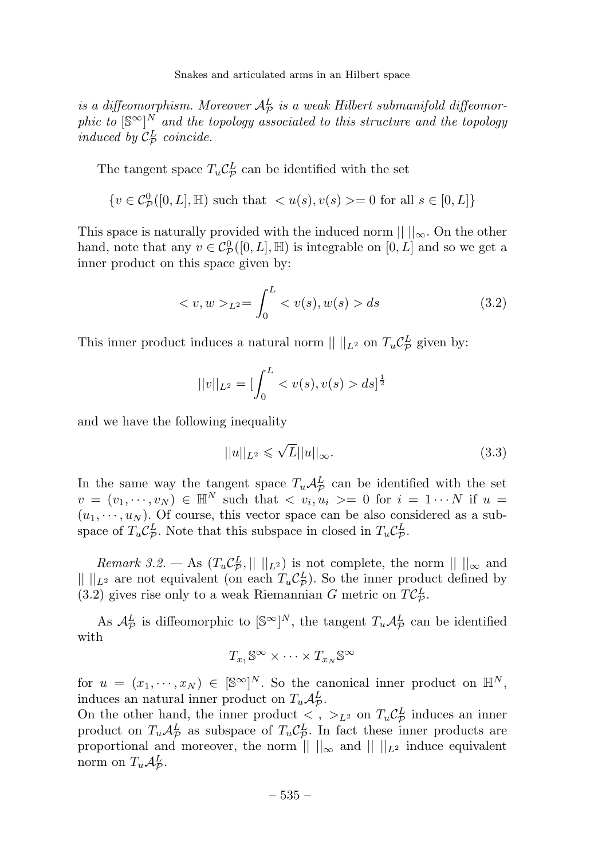is a diffeomorphism. Moreover  $A^L_{\cal P}$  is a weak Hilbert submanifold diffeomorphic to  $[\mathbb{S}^{\infty}]^N$  and the topology associated to this structure and the topology induced by  $\mathcal{C}_{\mathcal{P}}^{L}$  coincide.

The tangent space  $T_u C^L_{\mathcal{P}}$  can be identified with the set

$$
\{v \in C^0_{\mathcal{P}}([0,L], \mathbb{H}) \text{ such that } \langle u(s), v(s) \rangle = 0 \text{ for all } s \in [0,L] \}
$$

This space is naturally provided with the induced norm  $|| \, ||_{\infty}$ . On the other hand, note that any  $v \in C^0_{\mathcal{P}}([0, L], \mathbb{H})$  is integrable on  $[0, L]$  and so we get a inner product on this space given by:

$$
\langle v, w \rangle_{L^2} = \int_0^L \langle v(s), w(s) \rangle ds \tag{3.2}
$$

This inner product induces a natural norm  $|| \ ||_{L^2}$  on  $T_u C^L_{\mathcal{P}}$  given by:

$$
||v||_{L^2} = \left[\int_0^L < v(s), v(s) > ds\right]^{\frac{1}{2}}
$$

and we have the following inequality

$$
||u||_{L^2} \leqslant \sqrt{L}||u||_{\infty}.\tag{3.3}
$$

In the same way the tangent space  $T_u \mathcal{A}_{\mathcal{P}}^L$  can be identified with the set  $v = (v_1, \dots, v_N) \in \mathbb{H}^N$  such that  $\langle v_i, u_i \rangle = 0$  for  $i = 1 \cdots N$  if  $u =$  $(u_1, \dots, u_N)$ . Of course, this vector space can be also considered as a subspace of  $T_u C_{\mathcal{P}}^L$ . Note that this subspace in closed in  $T_u C_{\mathcal{P}}^L$ .

Remark 3.2. — As  $(T_u \mathcal{C}_{\mathcal{P}}^L, || \ ||_{L^2})$  is not complete, the norm  $|| \ ||_{\infty}$  and  $\| \cdot \|_{L^2}$  are not equivalent (on each  $T_u C_{\mathcal{P}}^L$ ). So the inner product defined by (3.2) gives rise only to a weak Riemannian G metric on  $TC^L_{\mathcal{P}}$ .

As  $\mathcal{A}_{\mathcal{P}}^L$  is diffeomorphic to  $\lbrack \mathbb{S}^{\infty} \rbrack^N$ , the tangent  $T_u \mathcal{A}_{\mathcal{P}}^L$  can be identified with

$$
T_{x_1}\mathbb{S}^{\infty}\times\cdots\times T_{x_N}\mathbb{S}^{\infty}
$$

for  $u = (x_1, \dots, x_N) \in [\mathbb{S}^\infty]^N$ . So the canonical inner product on  $\mathbb{H}^N$ , induces an natural inner product on  $T_u \mathcal{A}_{\mathcal{P}}^L$ .

On the other hand, the inner product  $\langle , \rangle_{L^2}$  on  $T_u C_p^L$  induces an inner product on  $T_u A^L_{\mathcal{P}}$  as subspace of  $T_u C^L_{\mathcal{P}}$ . In fact these inner products are proportional and moreover, the norm  $\| \cdot \|_{\infty}$  and  $\| \cdot \|_{L^2}$  induce equivalent norm on  $T_u \mathcal{A}^L_{\mathcal{P}}$ .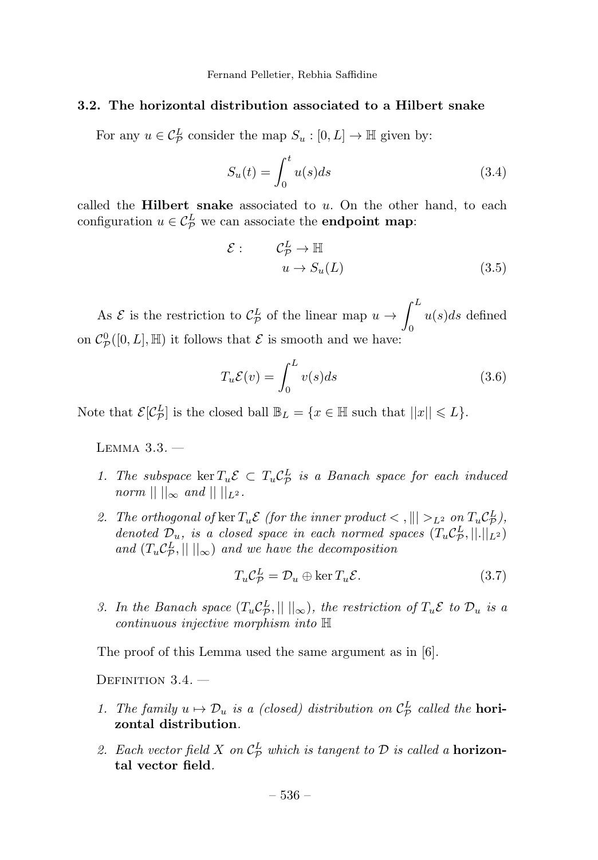#### 3.2. The horizontal distribution associated to a Hilbert snake

For any  $u \in C^L_{\mathcal{P}}$  consider the map  $S_u : [0, L] \to \mathbb{H}$  given by:

$$
S_u(t) = \int_0^t u(s)ds
$$
\n(3.4)

called the **Hilbert snake** associated to  $u$ . On the other hand, to each configuration  $u \in C^L_{\mathcal{P}}$  we can associate the **endpoint map**:

$$
\mathcal{E}: \qquad \mathcal{C}_{\mathcal{P}}^{L} \to \mathbb{H}
$$

$$
u \to S_{u}(L) \tag{3.5}
$$

As  $\mathcal{E}$  is the restriction to  $\mathcal{C}_{\mathcal{P}}^L$  of the linear map  $u \to$  $\int^L$  $\theta$  $u(s)ds$  defined on  $C^0_{\mathcal{P}}([0,L], \mathbb{H})$  it follows that  $\mathcal E$  is smooth and we have:

$$
T_u \mathcal{E}(v) = \int_0^L v(s)ds
$$
 (3.6)

Note that  $\mathcal{E}[\mathcal{C}_{\mathcal{P}}^{L}]$  is the closed ball  $\mathbb{B}_{L} = \{x \in \mathbb{H} \text{ such that } ||x|| \leq L\}.$ 

Lemma 3.3. —

- 1. The subspace  $\ker T_u \mathcal{E} \subset T_u C_{\mathcal{P}}^L$  is a Banach space for each induced  $norm || ||_{\infty}$  and  $|| ||_{L^2}$ .
- 2. The orthogonal of ker  $T_u \mathcal{E}$  (for the inner product  $\langle , || | \rangle_{L^2}$  on  $T_u \mathcal{C}_L^L$ ), denoted  $\mathcal{D}_u$ , is a closed space in each normed spaces  $(T_u C_{\mathcal{P}}^L, ||.||_{L^2})$ and  $(T_u C_{\mathcal{P}}^L, ||||_{\infty})$  and we have the decomposition

$$
T_u C_{\mathcal{P}}^L = \mathcal{D}_u \oplus \ker T_u \mathcal{E}.
$$
 (3.7)

3. In the Banach space  $(T_u C_{\mathcal{P}}^L, ||||_{\infty})$ , the restriction of  $T_u \mathcal{E}$  to  $\mathcal{D}_u$  is a continuous injective morphism into H

The proof of this Lemma used the same argument as in [6].

DEFINITION 3.4.

- 1. The family  $u \mapsto \mathcal{D}_u$  is a (closed) distribution on  $\mathcal{C}_{\mathcal{P}}^L$  called the **hori**zontal distribution.
- 2. Each vector field X on  $\mathcal{C}_{\mathcal{P}}^L$  which is tangent to  $\mathcal D$  is called a **horizon**tal vector field.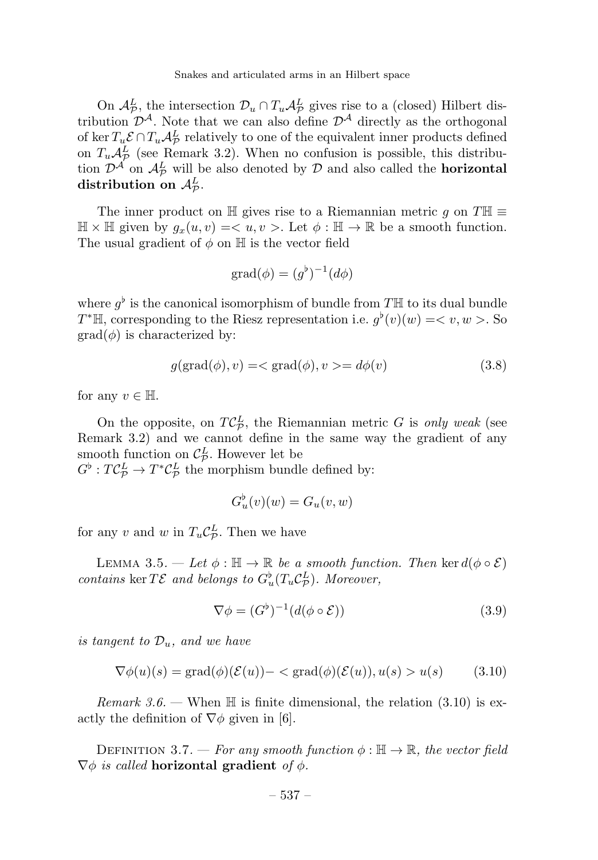On  $\mathcal{A}_{\mathcal{P}}^L$ , the intersection  $\mathcal{D}_u \cap T_u \mathcal{A}_{\mathcal{P}}^L$  gives rise to a (closed) Hilbert distribution  $\mathcal{D}^{\mathcal{A}}$ . Note that we can also define  $\mathcal{D}^{\mathcal{A}}$  directly as the orthogonal of ker  $T_u \mathcal{E} \cap T_u \mathcal{A}^L_{\mathcal{P}}$  relatively to one of the equivalent inner products defined on  $T_u A^L$  (see Remark 3.2). When no confusion is possible, this distribution  $\mathcal{D}^{\mathcal{A}}$  on  $\mathcal{A}_{\mathcal{P}}^{L}$  will be also denoted by  $\mathcal{D}$  and also called the **horizontal** distribution on  $\mathcal{A}_{\mathcal{P}}^{L}$ .

The inner product on  $\mathbb H$  gives rise to a Riemannian metric g on  $T\mathbb H \equiv$  $\mathbb{H} \times \mathbb{H}$  given by  $g_x(u, v) = \langle u, v \rangle$ . Let  $\phi : \mathbb{H} \to \mathbb{R}$  be a smooth function. The usual gradient of  $\phi$  on  $\mathbb H$  is the vector field

$$
\text{grad}(\phi) = (g^{\flat})^{-1}(d\phi)
$$

where  $q^{\flat}$  is the canonical isomorphism of bundle from TH to its dual bundle T<sup>\*</sup>H, corresponding to the Riesz representation i.e.  $g'(v)(w) = \langle v, w \rangle$ . So  $\text{grad}(\phi)$  is characterized by:

$$
g(\text{grad}(\phi), v) = \langle \text{grad}(\phi), v \rangle = d\phi(v) \tag{3.8}
$$

for any  $v \in \mathbb{H}$ .

On the opposite, on  $TC^L_{\mathcal{P}}$ , the Riemannian metric G is only weak (see Remark 3.2) and we cannot define in the same way the gradient of any smooth function on  $\mathcal{C}_{\mathcal{P}}^{L}$ . However let be

 $G^{\flat}: T C_{\mathcal{P}}^L \to T^* C_{\mathcal{P}}^L$  the morphism bundle defined by:

$$
G_u^{\flat}(v)(w) = G_u(v, w)
$$

for any v and w in  $T_u C^L_{\mathcal{P}}$ . Then we have

LEMMA 3.5. — Let  $\phi : \mathbb{H} \to \mathbb{R}$  be a smooth function. Then ker  $d(\phi \circ \mathcal{E})$ contains ker  $T\mathcal{E}$  and belongs to  $G_u^{\flat}(T_u C_{\mathcal{P}}^L)$ . Moreover,

$$
\nabla \phi = (G^{\flat})^{-1} (d(\phi \circ \mathcal{E})) \tag{3.9}
$$

is tangent to  $\mathcal{D}_u$ , and we have

$$
\nabla \phi(u)(s) = \text{grad}(\phi)(\mathcal{E}(u)) - \langle \text{grad}(\phi)(\mathcal{E}(u)), u(s) > u(s) \tag{3.10}
$$

*Remark 3.6.* — When  $\mathbb{H}$  is finite dimensional, the relation (3.10) is exactly the definition of  $\nabla \phi$  given in [6].

DEFINITION 3.7. — For any smooth function  $\phi : \mathbb{H} \to \mathbb{R}$ , the vector field  $\nabla \phi$  is called horizontal gradient of  $\phi$ .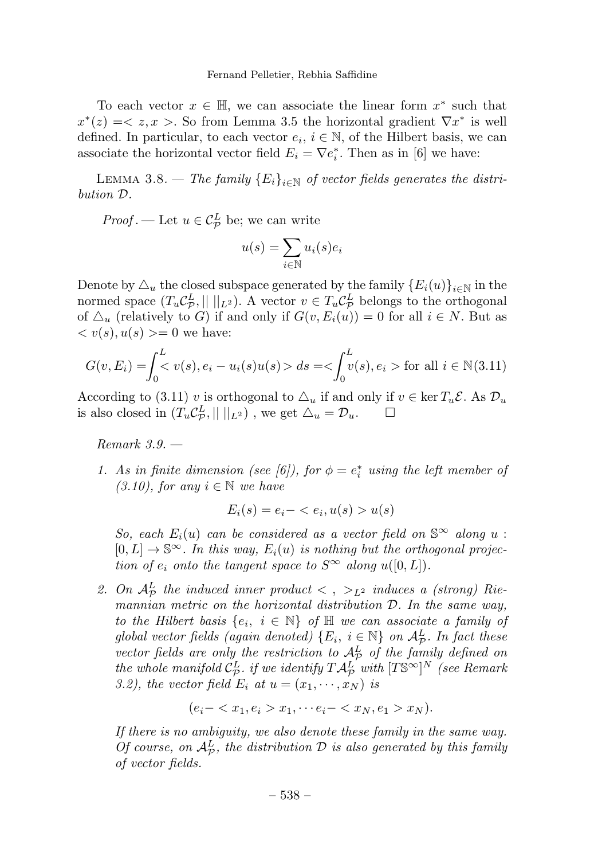#### Fernand Pelletier, Rebhia Saffidine

To each vector  $x \in \mathbb{H}$ , we can associate the linear form  $x^*$  such that  $x^*(z) = \langle z, x \rangle$ . So from Lemma 3.5 the horizontal gradient  $\nabla x^*$  is well defined. In particular, to each vector  $e_i$ ,  $i \in \mathbb{N}$ , of the Hilbert basis, we can associate the horizontal vector field  $E_i = \nabla e_i^*$ . Then as in [6] we have:

LEMMA 3.8. — The family  ${E_i}_{i \in \mathbb{N}}$  of vector fields generates the distribution D.

*Proof*. — Let  $u \in C^L_{\mathcal{P}}$  be; we can write

$$
u(s) = \sum_{i \in \mathbb{N}} u_i(s)e_i
$$

Denote by  $\Delta_u$  the closed subspace generated by the family  ${E_i(u)}_{i\in\mathbb{N}}$  in the normed space  $(T_u C_{\mathcal{P}}^L, || ||_{L^2})$ . A vector  $v \in T_u C_{\mathcal{P}}^L$  belongs to the orthogonal of  $\Delta_u$  (relatively to G) if and only if  $G(v, E_i(u)) = 0$  for all  $i \in N$ . But as  $\langle v(s), u(s) \rangle = 0$  we have:

$$
G(v, E_i) = \int_0^L v(s), e_i - u_i(s)u(s) > ds = \left\langle \int_0^L v(s), e_i \right\rangle \text{ for all } i \in \mathbb{N}(3.11)
$$

According to (3.11) v is orthogonal to  $\Delta_u$  if and only if  $v \in \ker T_u \mathcal{E}$ . As  $\mathcal{D}_u$  is also closed in  $(T_u C_{\mathcal{D}}^L, ||||_{L^2})$ , we get  $\Delta_u = \mathcal{D}_u$ . is also closed in  $(T_u C^L_{\mathcal{P}}, || ||_{L^2})$ , we get  $\Delta_u = \mathcal{D}_u$ .  $\Box$ 

Remark 3.9. —

1. As in finite dimension (see [6]), for  $\phi = e_i^*$  using the left member of  $(3.10)$ , for any  $i \in \mathbb{N}$  we have

$$
E_i(s) = e_i - \langle e_i, u(s) > u(s)
$$

So, each  $E_i(u)$  can be considered as a vector field on  $\mathbb{S}^{\infty}$  along u :  $[0, L] \rightarrow \mathbb{S}^{\infty}$ . In this way,  $E_i(u)$  is nothing but the orthogonal projection of  $e_i$  onto the tangent space to  $S^{\infty}$  along  $u([0, L])$ .

2. On  $\mathcal{A}_{\mathcal{P}}^L$  the induced inner product  $\langle , \rangle_{L^2}$  induces a (strong) Riemannian metric on the horizontal distribution D. In the same way, to the Hilbert basis  $\{e_i, i \in \mathbb{N}\}\$  of  $\mathbb H$  we can associate a family of global vector fields (again denoted)  $\{E_i, i \in \mathbb{N}\}\$  on  $\mathcal{A}_{\mathcal{P}}^L$ . In fact these vector fields are only the restriction to  $\mathcal{A}_{\mathcal{P}}^L$  of the family defined on the whole manifold  $C_F^L$  if we identify  $T\mathcal{A}_\mathcal{P}^L$  with  $[T\mathbb{S}^\infty]^N$  (see Remark 3.2), the vector field  $E_i$  at  $u = (x_1, \dots, x_N)$  is

$$
(e_i - \langle x_1, e_i \rangle x_1, \cdots e_i - \langle x_N, e_1 \rangle x_N).
$$

If there is no ambiguity, we also denote these family in the same way. Of course, on  $\mathcal{A}_{\mathcal{P}}^L$ , the distribution  $\mathcal D$  is also generated by this family of vector fields.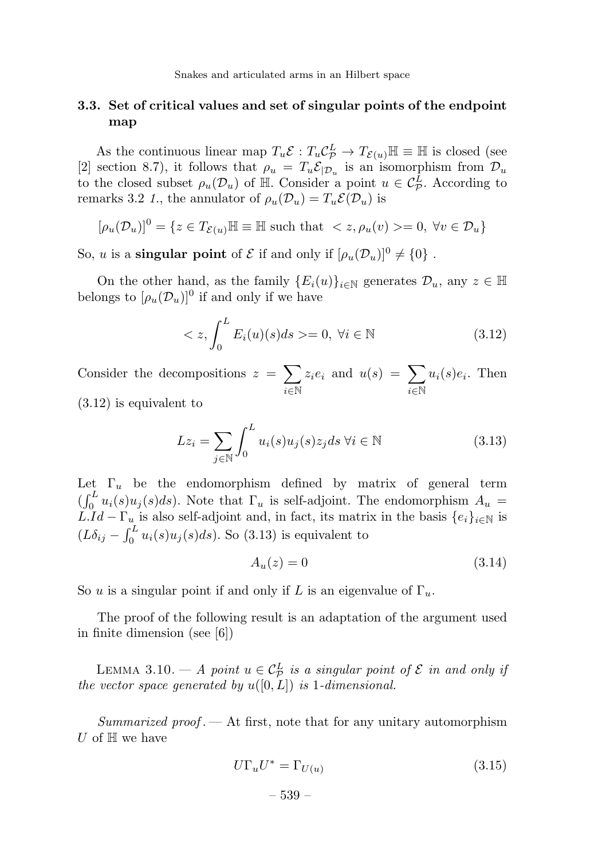# 3.3. Set of critical values and set of singular points of the endpoint map

As the continuous linear map  $T_u \mathcal{E} : T_u \mathcal{C}_P^L \to T_{\mathcal{E}(u)} \mathbb{H} \equiv \mathbb{H}$  is closed (see [2] section 8.7), it follows that  $\rho_u = T_u \mathcal{E}_{|\mathcal{D}_u}$  is an isomorphism from  $\mathcal{D}_u$ to the closed subset  $\rho_u(\mathcal{D}_u)$  of  $\mathbb{H}$ . Consider a point  $u \in C^L_{\mathcal{P}}$ . According to remarks 3.2 1, the annulator of  $\rho_u(\mathcal{D}_u) = T_u \mathcal{E}(\mathcal{D}_u)$  is

$$
[\rho_u(\mathcal{D}_u)]^0 = \{ z \in T_{\mathcal{E}(u)} \mathbb{H} \equiv \mathbb{H} \text{ such that } \langle z, \rho_u(v) \rangle = 0, \forall v \in \mathcal{D}_u \}
$$

So, *u* is a **singular point** of  $\mathcal{E}$  if and only if  $[\rho_u(\mathcal{D}_u)]^0 \neq \{0\}$ .

On the other hand, as the family  ${E_i(u)}_{i\in\mathbb{N}}$  generates  $\mathcal{D}_u$ , any  $z \in \mathbb{H}$ belongs to  $[\rho_u(\mathcal{D}_u)]^0$  if and only if we have

$$
\langle z, \int_0^L E_i(u)(s)ds \rangle = 0, \ \forall i \in \mathbb{N} \tag{3.12}
$$

Consider the decompositions  $z = \sum$ i∈N  $z_i e_i$  and  $u(s) = \sum$ i∈N  $u_i(s)e_i$ . Then (3.12) is equivalent to

$$
Lz_i = \sum_{j \in \mathbb{N}} \int_0^L u_i(s) u_j(s) z_j ds \,\forall i \in \mathbb{N}
$$
\n(3.13)

Let  $\Gamma_u$  be the endomorphism defined by matrix of general term  $(\int_0^L u_i(s)u_j(s)ds)$ . Note that  $\Gamma_u$  is self-adjoint. The endomorphism  $A_u =$  $LId - \Gamma_u$  is also self-adjoint and, in fact, its matrix in the basis  $\{e_i\}_{i\in\mathbb{N}}$  is  $(L\delta_{ij} - \int_0^L u_i(s)u_j(s)ds)$ . So (3.13) is equivalent to

$$
A_u(z) = 0 \tag{3.14}
$$

So u is a singular point if and only if L is an eigenvalue of  $\Gamma_u$ .

The proof of the following result is an adaptation of the argument used in finite dimension (see [6])

LEMMA 3.10. — A point  $u \in C_P^L$  is a singular point of  $\mathcal E$  in and only if the vector space generated by  $u([0, L])$  is 1-dimensional.

Summarized proof.  $-$  At first, note that for any unitary automorphism U of  $H$  we have

$$
U\Gamma_u U^* = \Gamma_{U(u)}\tag{3.15}
$$

$$
-
$$
 539  $-$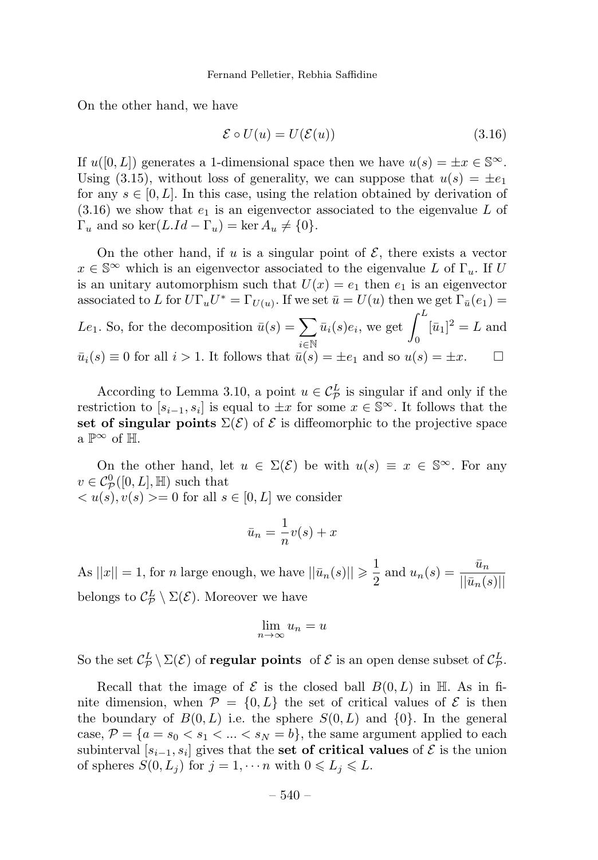On the other hand, we have

$$
\mathcal{E} \circ U(u) = U(\mathcal{E}(u)) \tag{3.16}
$$

If  $u([0, L])$  generates a 1-dimensional space then we have  $u(s) = \pm x \in \mathbb{S}^{\infty}$ . Using (3.15), without loss of generality, we can suppose that  $u(s) = \pm e_1$ for any  $s \in [0, L]$ . In this case, using the relation obtained by derivation of  $(3.16)$  we show that  $e_1$  is an eigenvector associated to the eigenvalue L of  $\Gamma_u$  and so ker(L.Id –  $\Gamma_u$ ) = ker  $A_u \neq \{0\}$ .

On the other hand, if u is a singular point of  $\mathcal{E}$ , there exists a vector  $x \in \mathbb{S}^{\infty}$  which is an eigenvector associated to the eigenvalue L of  $\Gamma_u$ . If U is an unitary automorphism such that  $U(x) = e_1$  then  $e_1$  is an eigenvector associated to L for  $U\Gamma_u U^* = \Gamma_{U(u)}$ . If we set  $\bar{u} = U(u)$  then we get  $\Gamma_{\bar{u}}(e_1) =$ Le<sub>1</sub>. So, for the decomposition  $\bar{u}(s) = \sum$ i∈N  $\bar{u}_i(s)e_i$ , we get  $\int_0^L [\bar{u}_1]^2 = L$  and  $\bar{u}_i(s) \equiv 0$  for all  $i > 1$ . It follows that  $\bar{u}(s) = \pm e_1$  and so  $u(s) = \pm x$ .  $\Box$ 

According to Lemma 3.10, a point  $u \in C^L_{\mathcal{P}}$  is singular if and only if the restriction to  $[s_{i-1}, s_i]$  is equal to  $\pm x$  for some  $x \in \mathbb{S}^\infty$ . It follows that the set of singular points  $\Sigma(\mathcal{E})$  of  $\mathcal E$  is diffeomorphic to the projective space a  $\mathbb{P}^{\infty}$  of H.

On the other hand, let  $u \in \Sigma(\mathcal{E})$  be with  $u(s) \equiv x \in \mathbb{S}^{\infty}$ . For any  $v \in C^0_{\mathcal{P}}([0,L],\mathbb{H})$  such that  $\langle u(s), v(s) \rangle = 0$  for all  $s \in [0, L]$  we consider

$$
\bar{u}_n = \frac{1}{n}v(s) + x
$$

As  $||x|| = 1$ , for *n* large enough, we have  $||\bar{u}_n(s)|| \geqslant \frac{1}{2}$  $rac{1}{2}$  and  $u_n(s) = \frac{\bar{u}_n}{\|\bar{u}_n(s)\|}$  $||\bar{u}_n(s)||$ belongs to  $\mathcal{C}_{\mathcal{P}}^{L} \setminus \Sigma(\mathcal{E})$ . Moreover we have

$$
\lim_{n \to \infty} u_n = u
$$

So the set  $C^L_{\mathcal{P}} \setminus \Sigma(\mathcal{E})$  of **regular points** of  $\mathcal{E}$  is an open dense subset of  $C^L_{\mathcal{P}}$ .

Recall that the image of  $\mathcal E$  is the closed ball  $B(0,L)$  in  $\mathbb H$ . As in finite dimension, when  $\mathcal{P} = \{0, L\}$  the set of critical values of  $\mathcal{E}$  is then the boundary of  $B(0, L)$  i.e. the sphere  $S(0, L)$  and  $\{0\}$ . In the general case,  $\mathcal{P} = \{a = s_0 < s_1 < \ldots < s_N = b\}$ , the same argument applied to each subinterval  $[s_{i-1}, s_i]$  gives that the set of critical values of  $\mathcal E$  is the union of spheres  $S(0, L_j)$  for  $j = 1, \dots n$  with  $0 \le L_j \le L$ .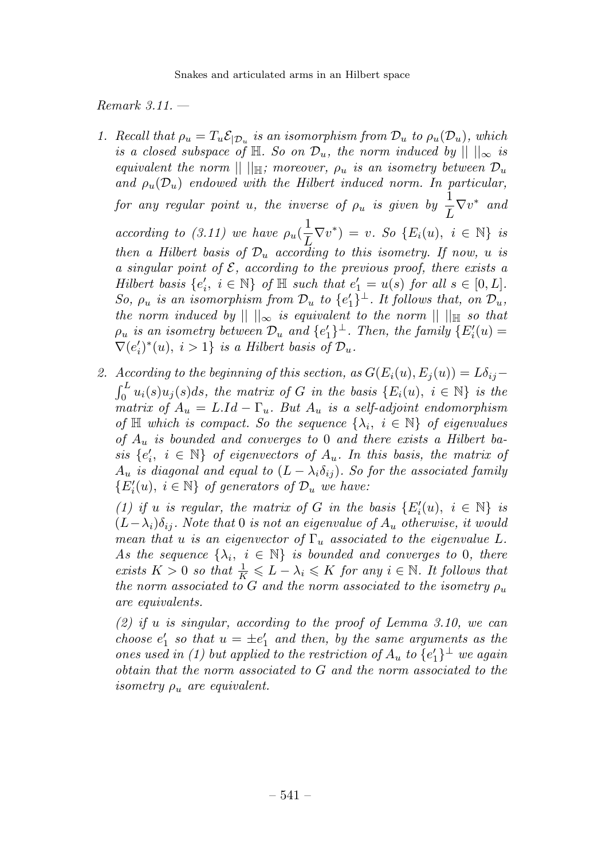Remark 3.11. —

- 1. Recall that  $\rho_u = T_u \mathcal{E}_{|\mathcal{D}_u}$  is an isomorphism from  $\mathcal{D}_u$  to  $\rho_u(\mathcal{D}_u)$ , which is a closed subspace of  $\mathbb{H}$ . So on  $\mathcal{D}_u$ , the norm induced by  $|| \ ||_{\infty}$  is equivalent the norm  $|| \cdot ||_{\mathbb{H}}$ ; moreover,  $\rho_u$  is an isometry between  $\mathcal{D}_u$ and  $\rho_u(\mathcal{D}_u)$  endowed with the Hilbert induced norm. In particular, for any regular point u, the inverse of  $\rho_u$  is given by  $\frac{1}{L} \nabla v^*$  and according to (3.11) we have  $\rho_u(\frac{1}{L}\nabla v^*) = v$ . So  $\{E_i(u), i \in \mathbb{N}\}\$ is then a Hilbert basis of  $\mathcal{D}_u$  according to this isometry. If now, u is a singular point of  $\mathcal E$ , according to the previous proof, there exists a Hilbert basis  $\{e'_i, i \in \mathbb{N}\}$  of  $\mathbb H$  such that  $e'_1 = u(s)$  for all  $s \in [0, L]$ . So,  $\rho_u$  is an isomorphism from  $\mathcal{D}_u$  to  $\{e'_1\}^{\perp}$ . It follows that, on  $\mathcal{D}_u$ , the norm induced by  $|| \cdot ||_{\infty}$  is equivalent to the norm  $|| \cdot ||_{\mathbb{H}}$  so that  $\rho_u$  is an isometry between  $\mathcal{D}_u$  and  $\{e'_1\}^{\perp}$ . Then, the family  $\{E'_i(u)=\}$  $\nabla(e'_i)^*(u), i>1$  is a Hilbert basis of  $\mathcal{D}_u$ .
- 2. According to the beginning of this section, as  $G(E_i(u), E_i(u)) = L\delta_{ij}$  $\int_0^L u_i(s)u_j(s)ds$ , the matrix of G in the basis  $\{E_i(u), i \in \mathbb{N}\}\$ is the matrix of  $A_u = L Id - \Gamma_u$ . But  $A_u$  is a self-adjoint endomorphism of  $\mathbb H$  which is compact. So the sequence  $\{\lambda_i, i \in \mathbb N\}$  of eigenvalues of  $A_u$  is bounded and converges to 0 and there exists a Hilbert basis  $\{e'_i, i \in \mathbb{N}\}\$  of eigenvectors of  $A_u$ . In this basis, the matrix of  $A_u$  is diagonal and equal to  $(L - \lambda_i \delta_{ij})$ . So for the associated family  ${E'_i(u), i \in \mathbb{N}}$  of generators of  $\mathcal{D}_u$  we have:

(1) if u is regular, the matrix of G in the basis  $\{E'_i(u), i \in \mathbb{N}\}\$ is  $(L-\lambda_i)\delta_{ii}$ . Note that 0 is not an eigenvalue of  $A_u$  otherwise, it would mean that u is an eigenvector of  $\Gamma_u$  associated to the eigenvalue L. As the sequence  $\{\lambda_i, i \in \mathbb{N}\}\$  is bounded and converges to 0, there exists  $K > 0$  so that  $\frac{1}{K} \leq L - \lambda_i \leq K$  for any  $i \in \mathbb{N}$ . It follows that the norm associated to G and the norm associated to the isometry  $\rho_u$ are equivalents.

 $(2)$  if u is singular, according to the proof of Lemma 3.10, we can choose  $e'_1$  so that  $u = \pm e'_1$  and then, by the same arguments as the ones used in (1) but applied to the restriction of  $A_u$  to  $\{e'_1\}^{\perp}$  we again obtain that the norm associated to G and the norm associated to the isometry  $\rho_u$  are equivalent.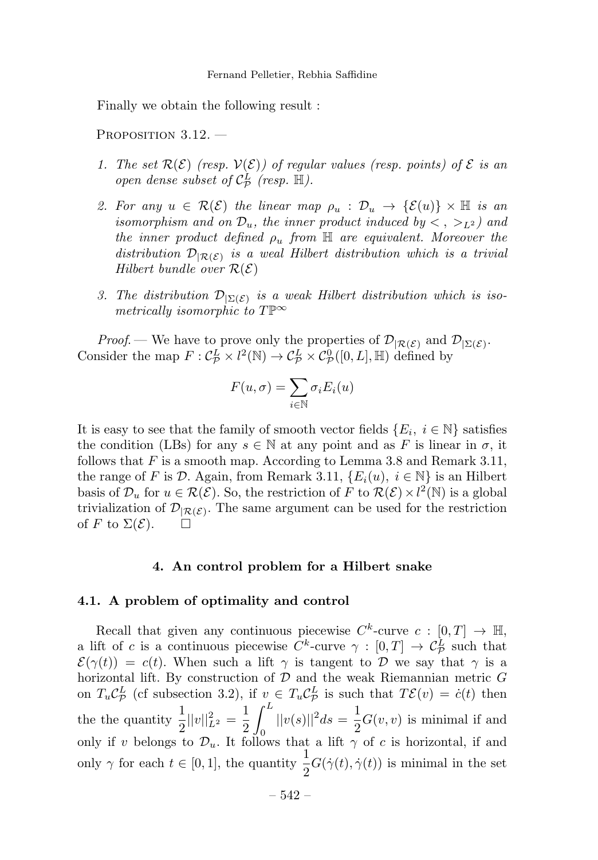Finally we obtain the following result :

PROPOSITION 3.12.

- 1. The set  $\mathcal{R}(\mathcal{E})$  (resp.  $\mathcal{V}(\mathcal{E})$ ) of regular values (resp. points) of  $\mathcal E$  is an open dense subset of  $C_P^L$  (resp.  $\mathbb{H}$ ).
- 2. For any  $u \in \mathcal{R}(\mathcal{E})$  the linear map  $\rho_u : \mathcal{D}_u \to {\mathcal{E}}(u) \times \mathbb{H}$  is an isomorphism and on  $\mathcal{D}_u$ , the inner product induced by  $\lt$ ,  $>_{L^2}$ ) and the inner product defined  $\rho_u$  from  $\mathbb H$  are equivalent. Moreover the distribution  $\mathcal{D}_{R(\mathcal{E})}$  is a weal Hilbert distribution which is a trivial Hilbert bundle over  $\mathcal{R}(\mathcal{E})$
- 3. The distribution  $\mathcal{D}_{\Sigma(\mathcal{E})}$  is a weak Hilbert distribution which is isometrically isomorphic to  $T\mathbb{P}^\infty$

*Proof.* — We have to prove only the properties of  $\mathcal{D}_{\mathcal{R}(\mathcal{E})}$  and  $\mathcal{D}_{\mathcal{E}(\mathcal{E})}$ . Consider the map  $F: C^L_{\mathcal{P}} \times l^2(\mathbb{N}) \to C^L_{\mathcal{P}} \times C^0_{\mathcal{P}}([0,L], \mathbb{H})$  defined by

$$
F(u, \sigma) = \sum_{i \in \mathbb{N}} \sigma_i E_i(u)
$$

It is easy to see that the family of smooth vector fields  $\{E_i, i \in \mathbb{N}\}\$  satisfies the condition (LBs) for any  $s \in \mathbb{N}$  at any point and as F is linear in  $\sigma$ , it follows that  $F$  is a smooth map. According to Lemma 3.8 and Remark 3.11, the range of F is D. Again, from Remark 3.11,  $\{E_i(u), i \in \mathbb{N}\}\$ is an Hilbert basis of  $\mathcal{D}_u$  for  $u \in \mathcal{R}(\mathcal{E})$ . So, the restriction of F to  $\mathcal{R}(\mathcal{E}) \times l^2(\mathbb{N})$  is a global trivialization of  $\mathcal{D}_{|\mathcal{R}(\mathcal{E})}$ . The same argument can be used for the restriction of F to  $\Sigma(\mathcal{E})$ . of F to  $\Sigma(\mathcal{E})$ .

#### 4. An control problem for a Hilbert snake

#### 4.1. A problem of optimality and control

Recall that given any continuous piecewise  $C^k$ -curve  $c : [0, T] \rightarrow \mathbb{H}$ , a lift of c is a continuous piecewise  $C^k$ -curve  $\gamma : [0, T] \to \mathcal{C}_{\mathcal{P}}^L$  such that  $\mathcal{E}(\gamma(t)) = c(t)$ . When such a lift  $\gamma$  is tangent to D we say that  $\gamma$  is a horizontal lift. By construction of  $D$  and the weak Riemannian metric  $G$ on  $T_u C^L_{\mathcal{P}}$  (cf subsection 3.2), if  $v \in T_u C^L_{\mathcal{P}}$  is such that  $T\mathcal{E}(v)=\dot{c}(t)$  then the the quantity  $\frac{1}{2}||v||_{L^2}^2 = \frac{1}{2}$  $\int_0^L ||v(s)||^2 ds = \frac{1}{2} G(v, v)$  is minimal if and only if v belongs to  $\mathcal{D}_u$ . It follows that a lift  $\gamma$  of c is horizontal, if and only  $\gamma$  for each  $t \in [0,1]$ , the quantity  $\frac{1}{2}G(\dot{\gamma}(t), \dot{\gamma}(t))$  is minimal in the set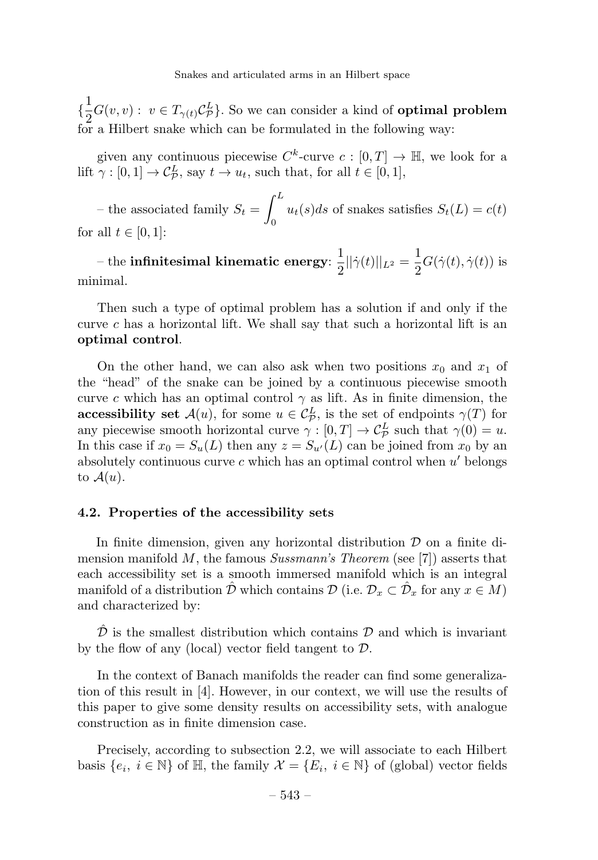{ 1  $\frac{1}{2}G(v, v) : v \in T_{\gamma(t)}\mathcal{C}_{\mathcal{P}}^L$ . So we can consider a kind of **optimal problem** for a Hilbert snake which can be formulated in the following way:

given any continuous piecewise  $C^k$ -curve  $c : [0, T] \to \mathbb{H}$ , we look for a lift  $\gamma : [0,1] \to C^L_{\mathcal{P}}$ , say  $t \to u_t$ , such that, for all  $t \in [0,1]$ ,

– the associated family  $S_t =$  $\int^L$  $\int_0^{\infty} u_t(s)ds$  of snakes satisfies  $S_t(L) = c(t)$ for all  $t \in [0, 1]$ :

– the **infinitesimal kinematic energy**:  $\frac{1}{2} ||\dot{\gamma}(t)||_{L^2} = \frac{1}{2} G(\dot{\gamma}(t), \dot{\gamma}(t))$  is minimal.

Then such a type of optimal problem has a solution if and only if the curve c has a horizontal lift. We shall say that such a horizontal lift is an optimal control.

On the other hand, we can also ask when two positions  $x_0$  and  $x_1$  of the "head" of the snake can be joined by a continuous piecewise smooth curve c which has an optimal control  $\gamma$  as lift. As in finite dimension, the **accessibility set**  $\mathcal{A}(u)$ , for some  $u \in C_{\mathcal{P}}^L$ , is the set of endpoints  $\gamma(T)$  for any piecewise smooth horizontal curve  $\gamma : [0, T] \to \mathcal{C}_{\mathcal{P}}^L$  such that  $\gamma(0) = u$ . In this case if  $x_0 = S_u(L)$  then any  $z = S_{u'}(L)$  can be joined from  $x_0$  by an absolutely continuous curve  $c$  which has an optimal control when  $u'$  belongs to  $\mathcal{A}(u)$ .

# 4.2. Properties of the accessibility sets

In finite dimension, given any horizontal distribution  $\mathcal D$  on a finite dimension manifold M, the famous  $Sussmann's Theorem$  (see [7]) asserts that each accessibility set is a smooth immersed manifold which is an integral manifold of a distribution  $\hat{\mathcal{D}}$  which contains  $\mathcal{D}$  (i.e.  $\mathcal{D}_x \subset \hat{\mathcal{D}}_x$  for any  $x \in M$ ) and characterized by:

 $\hat{\mathcal{D}}$  is the smallest distribution which contains  $\mathcal{D}$  and which is invariant by the flow of any (local) vector field tangent to D.

In the context of Banach manifolds the reader can find some generalization of this result in [4]. However, in our context, we will use the results of this paper to give some density results on accessibility sets, with analogue construction as in finite dimension case.

Precisely, according to subsection 2.2, we will associate to each Hilbert basis  $\{e_i, i \in \mathbb{N}\}\$  of  $\mathbb{H}$ , the family  $\mathcal{X} = \{E_i, i \in \mathbb{N}\}\$  of (global) vector fields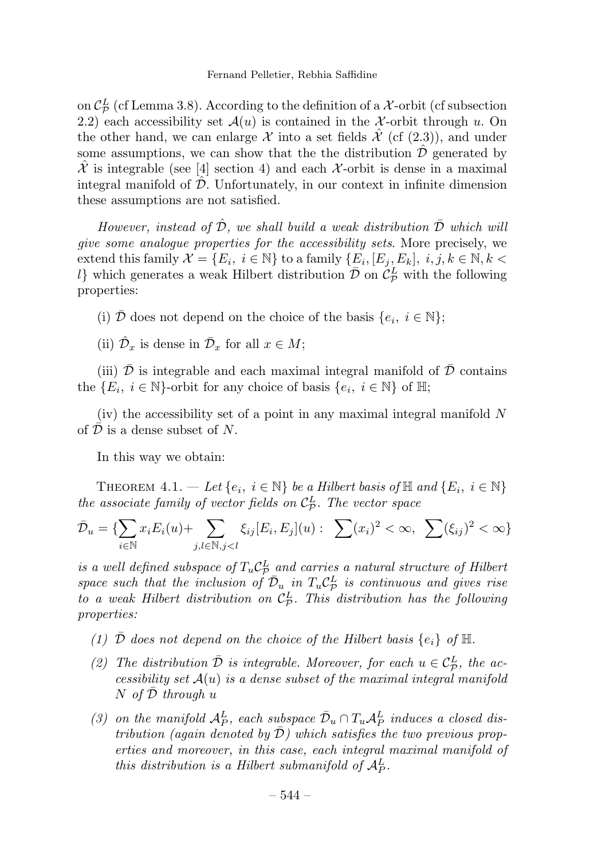on  $\mathcal{C}_{\mathcal{P}}^{L}$  (cf Lemma 3.8). According to the definition of a X-orbit (cf subsection 2.2) each accessibility set  $\mathcal{A}(u)$  is contained in the X-orbit through u. On the other hand, we can enlarge X into a set fields  $\mathcal X$  (cf (2.3)), and under some assumptions, we can show that the the distribution  $\mathcal D$  generated by  $\mathcal X$  is integrable (see [4] section 4) and each  $\mathcal X$ -orbit is dense in a maximal integral manifold of  $\hat{\mathcal{D}}$ . Unfortunately, in our context in infinite dimension these assumptions are not satisfied.

However, instead of  $\hat{\mathcal{D}}$ , we shall build a weak distribution  $\bar{\mathcal{D}}$  which will give some analogue properties for the accessibility sets. More precisely, we extend this family  $\mathcal{X} = \{E_i, i \in \mathbb{N}\}\$ to a family  $\{E_i, [E_i, E_k], i, j, k \in \mathbb{N}, k \leq \mathbb{N}\}$ l} which generates a weak Hilbert distribution  $\overline{D}$  on  $\mathcal{C}_{\mathcal{P}}^L$  with the following properties:

(i)  $\overline{\mathcal{D}}$  does not depend on the choice of the basis  $\{e_i, i \in \mathbb{N}\}\$ ;

(ii)  $\hat{\mathcal{D}}_x$  is dense in  $\bar{\mathcal{D}}_x$  for all  $x \in M$ ;

(iii)  $\mathcal D$  is integrable and each maximal integral manifold of  $\mathcal D$  contains the  $\{E_i, i \in \mathbb{N}\}$ -orbit for any choice of basis  $\{e_i, i \in \mathbb{N}\}\$  of  $\mathbb{H};$ 

(iv) the accessibility set of a point in any maximal integral manifold N of  $\mathcal D$  is a dense subset of N.

In this way we obtain:

THEOREM  $4.1. - Let \{e_i, i \in \mathbb{N}\}$  be a Hilbert basis of  $\mathbb{H}$  and  $\{E_i, i \in \mathbb{N}\}$ the associate family of vector fields on  $\mathcal{C}_{\mathcal{P}}^{L}$ . The vector space

$$
\bar{\mathcal{D}}_u = \{ \sum_{i \in \mathbb{N}} x_i E_i(u) + \sum_{j,l \in \mathbb{N}, j < l} \xi_{ij} [E_i, E_j](u) : \sum_{i} (x_i)^2 < \infty, \sum_{i} (\xi_{ij})^2 < \infty \}
$$

is a well defined subspace of  $T_u C^L_{\rho}$  and carries a natural structure of Hilbert space such that the inclusion of  $\overline{\mathcal{D}}_u$  in  $T_u \mathcal{C}_P^L$  is continuous and gives rise to a weak Hilbert distribution on  $C_P^L$ . This distribution has the following properties:

- (1)  $\bar{\mathcal{D}}$  does not depend on the choice of the Hilbert basis  $\{e_i\}$  of  $\mathbb{H}$ .
- (2) The distribution  $\overline{\mathcal{D}}$  is integrable. Moreover, for each  $u \in C_{\mathcal{P}}^L$ , the accessibility set  $A(u)$  is a dense subset of the maximal integral manifold  $N$  of  $D$  through u
- (3) on the manifold  $A_P^L$ , each subspace  $\overline{\mathcal{D}}_u \cap T_u A_P^L$  induces a closed distribution (again denoted by  $\overline{D}$ ) which satisfies the two previous properties and moreover, in this case, each integral maximal manifold of this distribution is a Hilbert submanifold of  $\mathcal{A}_P^L$ .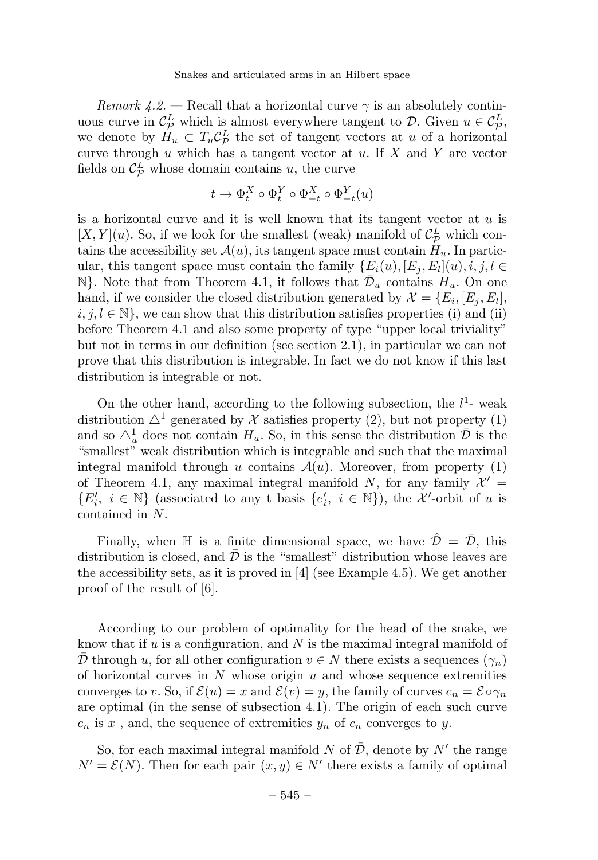Remark 4.2. — Recall that a horizontal curve  $\gamma$  is an absolutely continuous curve in  $\mathcal{C}_{\mathcal{P}}^L$ , which is almost everywhere tangent to  $\mathcal{D}$ . Given  $u \in \mathcal{C}_{\mathcal{P}}^L$ , we denote by  $H_u \subset T_u C_{\mathcal{P}}^L$  the set of tangent vectors at u of a horizontal curve through  $u$  which has a tangent vector at  $u$ . If  $X$  and  $Y$  are vector fields on  $\mathcal{C}_{\mathcal{P}}^{L}$  whose domain contains u, the curve

$$
t \to \Phi_t^X \circ \Phi_t^Y \circ \Phi_{-t}^X \circ \Phi_{-t}^Y(u)
$$

is a horizontal curve and it is well known that its tangent vector at  $u$  is  $[X, Y](u)$ . So, if we look for the smallest (weak) manifold of  $\mathcal{C}_{\mathcal{P}}^L$  which contains the accessibility set  $\mathcal{A}(u)$ , its tangent space must contain  $H_u$ . In particular, this tangent space must contain the family  $\{E_i(u), [E_j, E_l](u), i, j, l \in$  $\mathbb{N}$ . Note that from Theorem 4.1, it follows that  $\mathcal{D}_u$  contains  $H_u$ . On one hand, if we consider the closed distribution generated by  $\mathcal{X} = \{E_i, [E_j, E_l],\}$  $i, j, l \in \mathbb{N}$ , we can show that this distribution satisfies properties (i) and (ii) before Theorem 4.1 and also some property of type "upper local triviality" but not in terms in our definition (see section 2.1), in particular we can not prove that this distribution is integrable. In fact we do not know if this last distribution is integrable or not.

On the other hand, according to the following subsection, the  $l^1$ - weak distribution  $\Delta^1$  generated by X satisfies property (2), but not property (1) and so  $\Delta_u^1$  does not contain  $H_u$ . So, in this sense the distribution  $\overline{\mathcal{D}}$  is the "smallest" weak distribution which is integrable and such that the maximal integral manifold through u contains  $\mathcal{A}(u)$ . Moreover, from property (1) of Theorem 4.1, any maximal integral manifold N, for any family  $\mathcal{X}' =$  $\{E'_i, i \in \mathbb{N}\}\$  (associated to any t basis  $\{e'_i, i \in \mathbb{N}\}\)$ , the X'-orbit of u is contained in N.

Finally, when  $\mathbb H$  is a finite dimensional space, we have  $\hat{\mathcal{D}} = \bar{\mathcal{D}}$ , this distribution is closed, and  $\mathcal{D}$  is the "smallest" distribution whose leaves are the accessibility sets, as it is proved in [4](see Example 4.5). We get another proof of the result of [6].

According to our problem of optimality for the head of the snake, we know that if u is a configuration, and  $N$  is the maximal integral manifold of  $\overline{\mathcal{D}}$  through u, for all other configuration  $v \in N$  there exists a sequences  $(\gamma_n)$ of horizontal curves in  $N$  whose origin  $u$  and whose sequence extremities converges to v. So, if  $\mathcal{E}(u) = x$  and  $\mathcal{E}(v) = y$ , the family of curves  $c_n = \mathcal{E} \circ \gamma_n$ are optimal (in the sense of subsection 4.1). The origin of each such curve  $c_n$  is x, and, the sequence of extremities  $y_n$  of  $c_n$  converges to y.

So, for each maximal integral manifold N of  $\bar{\mathcal{D}}$ , denote by N' the range  $N' = \mathcal{E}(N)$ . Then for each pair  $(x, y) \in N'$  there exists a family of optimal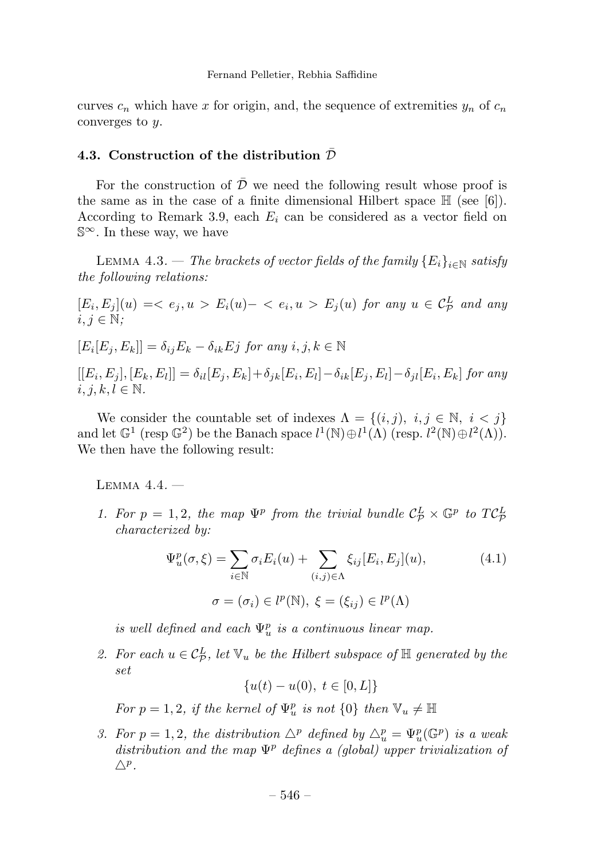curves  $c_n$  which have x for origin, and, the sequence of extremities  $y_n$  of  $c_n$ converges to y.

# 4.3. Construction of the distribution  $\bar{\mathcal{D}}$

For the construction of  $\bar{\mathcal{D}}$  we need the following result whose proof is the same as in the case of a finite dimensional Hilbert space  $\mathbb{H}$  (see [6]). According to Remark 3.9, each  $E_i$  can be considered as a vector field on S∞. In these way, we have

LEMMA 4.3. — The brackets of vector fields of the family  ${E_i}_{i \in \mathbb{N}}$  satisfy the following relations:

 $[E_i, E_j](u) = \langle e_j, u \rangle E_i(u) - \langle e_i, u \rangle E_j(u)$  for any  $u \in C^L_{\mathcal{P}}$  and any  $i, j \in \mathbb{N}$ :

 $[E_i[E_j, E_k]] = \delta_{ij}E_k - \delta_{ik}E_j$  for any  $i, j, k \in \mathbb{N}$ 

 $[[E_i, E_j], [E_k, E_l]] = \delta_{il}[E_j, E_k] + \delta_{ik}[E_i, E_l] - \delta_{ik}[E_j, E_l] - \delta_{il}[E_i, E_k]$  for any  $i, j, k, l \in \mathbb{N}$ .

We consider the countable set of indexes  $\Lambda = \{(i, j), i, j \in \mathbb{N}, i < j\}$ and let  $\mathbb{G}^1$  (resp.  $\mathbb{G}^2$ ) be the Banach space  $l^1(\mathbb{N}) \oplus l^1(\Lambda)$  (resp.  $l^2(\mathbb{N}) \oplus l^2(\Lambda)$ ). We then have the following result:

LEMMA  $4.4.$   $-$ 

1. For  $p = 1, 2$ , the map  $\Psi^p$  from the trivial bundle  $C^L_p \times \mathbb{G}^p$  to  $TC^L_p$ characterized by:

$$
\Psi_u^p(\sigma, \xi) = \sum_{i \in \mathbb{N}} \sigma_i E_i(u) + \sum_{(i,j) \in \Lambda} \xi_{ij} [E_i, E_j](u),
$$
\n
$$
\sigma = (\sigma_i) \in l^p(\mathbb{N}), \xi = (\xi_{ij}) \in l^p(\Lambda)
$$
\n(4.1)

is well defined and each  $\Psi^p_u$  is a continuous linear map.

2. For each  $u \in C^L_{\mathcal{P}}$ , let  $\mathbb{V}_u$  be the Hilbert subspace of  $\mathbb{H}$  generated by the set

 ${u(t) - u(0), t \in [0, L]}$ 

For  $p = 1, 2$ , if the kernel of  $\Psi_u^p$  is not  $\{0\}$  then  $\mathbb{V}_u \neq \mathbb{H}$ 

3. For  $p = 1, 2$ , the distribution  $\Delta^p$  defined by  $\Delta_u^p = \Psi_u^p(\mathbb{G}^p)$  is a weak distribution and the map  $\Psi^p$  defines a (global) upper trivialization of  $\triangle^p$ .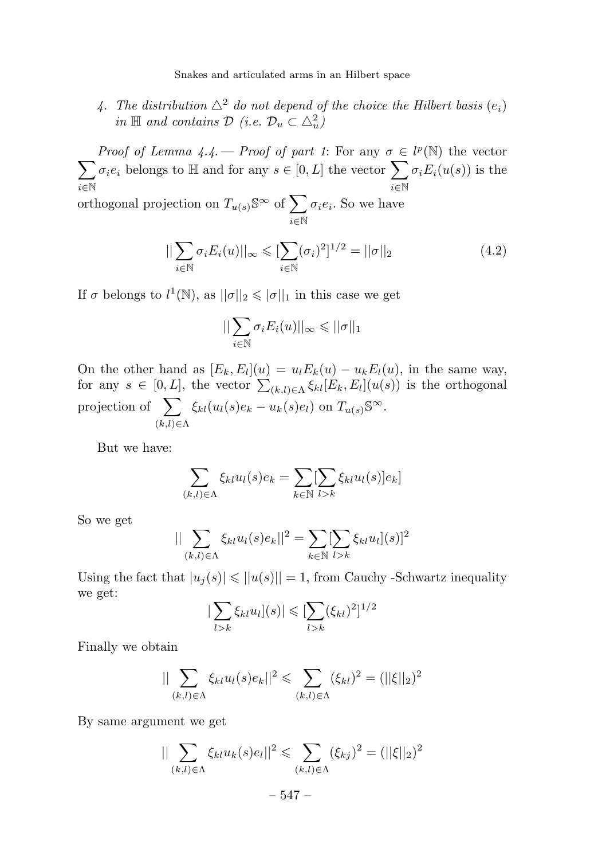4. The distribution  $\Delta^2$  do not depend of the choice the Hilbert basis  $(e_i)$ in  $\mathbb H$  and contains  $\mathcal D$  (i.e.  $\mathcal D_u \subset \triangle^2_u$ )

*Proof of Lemma 4.4.* — *Proof of part 1*: For any  $\sigma \in l^p(\mathbb{N})$  the vector  $\sqrt{ }$ i∈N  $\sigma_ie_i$  belongs to  $\mathbb H$  and for any  $s\in[0,L]$  the vector  $\sum$ i∈N  $\sigma_i E_i(u(s))$  is the orthogonal projection on  $T_{u(s)}$ <sup>S∞</sup> of  $\sum$ i∈N  $\sigma_i e_i$ . So we have

$$
\|\sum_{i\in\mathbb{N}}\sigma_i E_i(u)\|_{\infty} \leqslant \sum_{i\in\mathbb{N}}(\sigma_i)^2\frac{1}{2} = \|\sigma\|_2
$$
\n(4.2)

If  $\sigma$  belongs to  $l^1(\mathbb{N})$ , as  $||\sigma||_2 \leq |\sigma||_1$  in this case we get

$$
||\sum_{i\in\mathbb{N}}\sigma_iE_i(u)||_{\infty}\leqslant ||\sigma||_1
$$

On the other hand as  $[E_k, E_l](u) = u_l E_k(u) - u_k E_l(u)$ , in the same way, for any  $s \in [0, L]$ , the vector  $\sum_{(k,l) \in \Lambda} \xi_{kl} [E_k, E_l](u(s))$  is the orthogonal projection of  $\sum$  $(k,l) \in \Lambda$  $\xi_{kl}(u_l(s)e_k - u_k(s)e_l)$  on  $T_{u(s)}\mathbb{S}^{\infty}$ .

But we have:

$$
\sum_{(k,l)\in\Lambda} \xi_{kl} u_l(s) e_k = \sum_{k\in\mathbb{N}} \sum_{l>k} \xi_{kl} u_l(s) |e_k|
$$

So we get

$$
||\sum_{(k,l)\in\Lambda} \xi_{kl} u_l(s) e_k||^2 = \sum_{k\in\mathbb{N}} [\sum_{l>k} \xi_{kl} u_l](s)]^2
$$

Using the fact that  $|u_i(s)| \le ||u(s)|| = 1$ , from Cauchy -Schwartz inequality we get:

$$
\left|\sum_{l>k}\xi_{kl}u_l\right](s)\right|\leqslant\left[\sum_{l>k}(\xi_{kl})^2\right]^{1/2}
$$

Finally we obtain

$$
\|\sum_{(k,l)\in\Lambda}\xi_{kl}u_l(s)e_k\|^2 \leq \sum_{(k,l)\in\Lambda}(\xi_{kl})^2 = (\|\xi\|_2)^2
$$

By same argument we get

$$
||\sum_{(k,l)\in\Lambda} \xi_{kl} u_k(s)e_l||^2 \leq \sum_{(k,l)\in\Lambda} (\xi_{kj})^2 = (||\xi||_2)^2
$$

$$
-547-
$$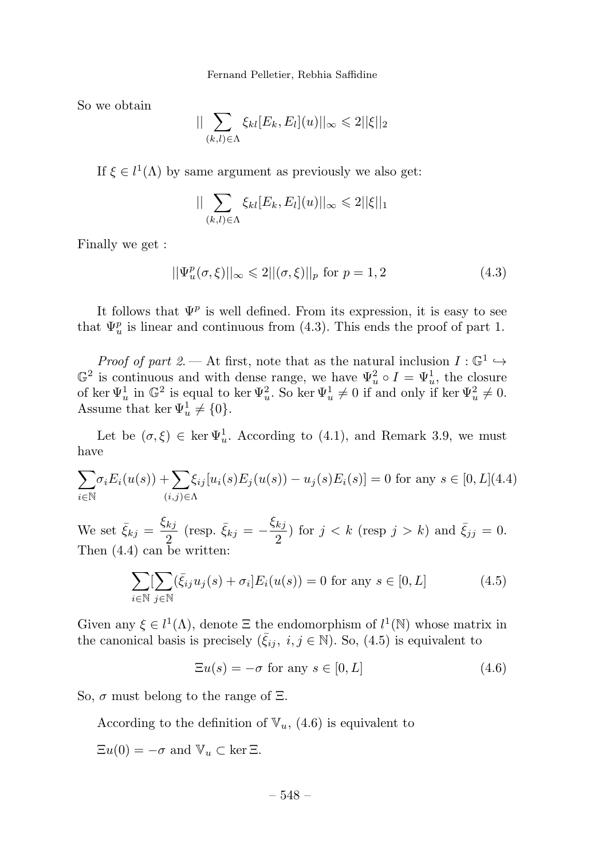Fernand Pelletier, Rebhia Saffidine

So we obtain

$$
||\sum_{(k,l)\in\Lambda}\xi_{kl}[E_k,E_l](u)||_{\infty}\leq 2||\xi||_2
$$

If  $\xi \in l^1(\Lambda)$  by same argument as previously we also get:

$$
||\sum_{(k,l)\in\Lambda}\xi_{kl}[E_k,E_l](u)||_{\infty}\leq 2||\xi||_1
$$

Finally we get :

$$
||\Psi_u^p(\sigma,\xi)||_{\infty} \leq 2||(\sigma,\xi)||_p \text{ for } p=1,2
$$
\n(4.3)

It follows that  $\Psi^p$  is well defined. From its expression, it is easy to see that  $\Psi_u^p$  is linear and continuous from (4.3). This ends the proof of part 1.

*Proof of part 2.* — At first, note that as the natural inclusion  $I: \mathbb{G}^1 \hookrightarrow$  $\mathbb{G}^2$  is continuous and with dense range, we have  $\Psi_u^2 \circ I = \Psi_u^1$ , the closure of ker  $\Psi_u^1$  in  $\mathbb{G}^2$  is equal to ker  $\Psi_u^2$ . So ker  $\Psi_u^1 \neq 0$  if and only if ker  $\Psi_u^2 \neq 0$ . Assume that ker  $\Psi_u^1 \neq \{0\}.$ 

Let be  $(\sigma, \xi) \in \ker \Psi_u^1$ . According to (4.1), and Remark 3.9, we must have

$$
\sum_{i \in \mathbb{N}} \sigma_i E_i(u(s)) + \sum_{(i,j) \in \Lambda} \xi_{ij}[u_i(s)E_j(u(s)) - u_j(s)E_i(s)] = 0 \text{ for any } s \in [0, L](4.4)
$$

We set  $\bar{\xi}_{kj} = \frac{\xi_{kj}}{2}$  (resp.  $\bar{\xi}_{kj} = -\frac{\xi_{kj}}{2}$ ) for  $j < k$  (resp  $j > k$ ) and  $\bar{\xi}_{jj} = 0$ . Then (4.4) can be written:

$$
\sum_{i \in \mathbb{N}} \left[ \sum_{j \in \mathbb{N}} (\bar{\xi}_{ij} u_j(s) + \sigma_i] E_i(u(s)) = 0 \text{ for any } s \in [0, L] \right] \tag{4.5}
$$

Given any  $\xi \in l^1(\Lambda)$ , denote  $\Xi$  the endomorphism of  $l^1(\mathbb{N})$  whose matrix in the canonical basis is precisely  $(\bar{\xi}_{ij}, i, j \in \mathbb{N})$ . So, (4.5) is equivalent to

$$
\Xi u(s) = -\sigma \text{ for any } s \in [0, L] \tag{4.6}
$$

So,  $\sigma$  must belong to the range of  $\Xi$ .

According to the definition of  $\mathbb{V}_u$ , (4.6) is equivalent to

 $\Xi u(0) = -\sigma$  and  $\mathbb{V}_u \subset \ker \Xi$ .

– 548 –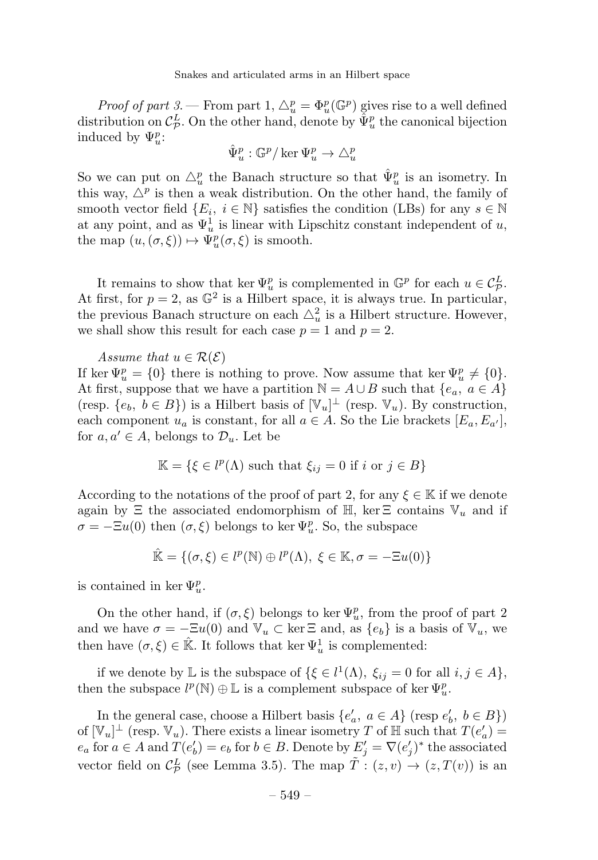Proof of part 3. – From part 1,  $\Delta_u^p = \Phi_u^p(\mathbb{G}^p)$  gives rise to a well defined distribution on  $\mathcal{C}_{\mathcal{P}}^L$ . On the other hand, denote by  $\hat{\Psi}_u^p$  the canonical bijection induced by  $\Psi^p_u$ :

$$
\hat{\Psi}^p_u:\mathbb{G}^p/\ker\Psi^p_u\to\triangle^p_u
$$

So we can put on  $\triangle_u^p$  the Banach structure so that  $\hat{\Psi}_u^p$  is an isometry. In this way,  $\Delta^p$  is then a weak distribution. On the other hand, the family of smooth vector field  $\{E_i, i \in \mathbb{N}\}\$  satisfies the condition (LBs) for any  $s \in \mathbb{N}$ at any point, and as  $\Psi^1_u$  is linear with Lipschitz constant independent of u, the map  $(u, (\sigma, \xi)) \mapsto \Psi_u^p(\sigma, \xi)$  is smooth.

It remains to show that ker  $\Psi_{\mu}^p$  is complemented in  $\mathbb{G}^p$  for each  $u \in C^L_{\mathcal{P}}$ . At first, for  $p = 2$ , as  $\mathbb{G}^2$  is a Hilbert space, it is always true. In particular, the previous Banach structure on each  $\triangle^2_u$  is a Hilbert structure. However, we shall show this result for each case  $p = 1$  and  $p = 2$ .

Assume that  $u \in \mathcal{R}(\mathcal{E})$ 

If ker  $\Psi_u^p = \{0\}$  there is nothing to prove. Now assume that ker  $\Psi_u^p \neq \{0\}$ . At first, suppose that we have a partition  $\mathbb{N} = A \cup B$  such that  $\{e_a, a \in A\}$ (resp.  $\{e_b, b \in B\}$ ) is a Hilbert basis of  $[\mathbb{V}_u]^{\perp}$  (resp.  $\mathbb{V}_u$ ). By construction, each component  $u_a$  is constant, for all  $a \in A$ . So the Lie brackets  $[E_a, E_{a'}]$ , for  $a, a' \in A$ , belongs to  $\mathcal{D}_u$ . Let be

$$
\mathbb{K} = \{ \xi \in l^p(\Lambda) \text{ such that } \xi_{ij} = 0 \text{ if } i \text{ or } j \in B \}
$$

According to the notations of the proof of part 2, for any  $\xi \in \mathbb{K}$  if we denote again by  $\Xi$  the associated endomorphism of  $\mathbb{H}$ , ker  $\Xi$  contains  $\mathbb{V}_u$  and if  $\sigma = -\Xi u(0)$  then  $(\sigma, \xi)$  belongs to ker  $\Psi^p_u$ . So, the subspace

$$
\hat{\mathbb{K}} = \{ (\sigma, \xi) \in l^p(\mathbb{N}) \oplus l^p(\Lambda), \ \xi \in \mathbb{K}, \sigma = -\Xi u(0) \}
$$

is contained in ker  $\Psi^p_u$ .

On the other hand, if  $(\sigma, \xi)$  belongs to ker  $\Psi_u^p$ , from the proof of part 2 and we have  $\sigma = -\Xi u(0)$  and  $\mathbb{V}_u \subset \ker \Xi$  and, as  $\{e_b\}$  is a basis of  $\mathbb{V}_u$ , we then have  $(\sigma, \xi) \in \mathbb{R}$ . It follows that ker  $\Psi_u^1$  is complemented:

if we denote by  $\mathbb{L}$  is the subspace of  $\{\xi \in l^1(\Lambda), \xi_{ij} = 0 \text{ for all } i, j \in A\},\$ then the subspace  $l^p(\mathbb{N})\oplus\mathbb{L}$  is a complement subspace of  $\ker\Psi^p_u.$ 

In the general case, choose a Hilbert basis  $\{e_a, a \in A\}$  (resp  $e_b, b \in B\}$ ) of  $[\mathbb{V}_u]^\perp$  (resp.  $\mathbb{V}_u$ ). There exists a linear isometry T of H such that  $T(e'_a)$  =  $e_a$  for  $a \in A$  and  $T(e'_b) = e_b$  for  $b \in B$ . Denote by  $E'_j = \nabla (e'_j)^*$  the associated vector field on  $\mathcal{C}_{\mathcal{P}}^{L}$  (see Lemma 3.5). The map  $\tilde{T}$  :  $(z, v) \rightarrow (z, T(v))$  is an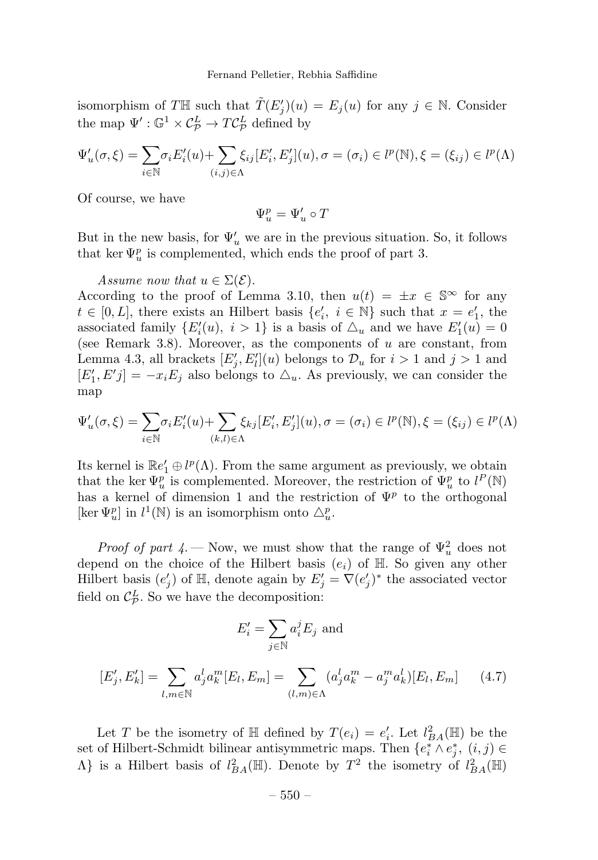isomorphism of TH such that  $\tilde{T}(E'_j)(u) = E_j(u)$  for any  $j \in \mathbb{N}$ . Consider the map  $\Psi' : \mathbb{G}^1 \times C^L_{\mathcal{P}} \to T C^L_{\mathcal{P}}$  defined by

$$
\Psi'_u(\sigma,\xi) = \sum_{i \in \mathbb{N}} \sigma_i E'_i(u) + \sum_{(i,j) \in \Lambda} \xi_{ij} [E'_i, E'_j](u), \sigma = (\sigma_i) \in l^p(\mathbb{N}), \xi = (\xi_{ij}) \in l^p(\Lambda)
$$

Of course, we have

$$
\Psi^p_u=\Psi'_u\circ T
$$

But in the new basis, for  $\Psi'_u$  we are in the previous situation. So, it follows that ker  $\Psi_u^p$  is complemented, which ends the proof of part 3.

Assume now that  $u \in \Sigma(\mathcal{E})$ .

According to the proof of Lemma 3.10, then  $u(t) = \pm x \in \mathbb{S}^{\infty}$  for any  $t \in [0, L]$ , there exists an Hilbert basis  $\{e'_i, i \in \mathbb{N}\}\$  such that  $x = e'_1$ , the associated family  $\{E'_i(u), i > 1\}$  is a basis of  $\Delta_u$  and we have  $E'_1(u) = 0$ (see Remark 3.8). Moreover, as the components of  $u$  are constant, from Lemma 4.3, all brackets  $[E'_j, E'_l](u)$  belongs to  $\mathcal{D}_u$  for  $i > 1$  and  $j > 1$  and  $[E'_1, E'j] = -x_i E_j$  also belongs to  $\Delta_u$ . As previously, we can consider the map

$$
\Psi'_u(\sigma,\xi) = \sum_{i \in \mathbb{N}} \sigma_i E'_i(u) + \sum_{(k,l) \in \Lambda} \xi_{kj} [E'_i, E'_j](u), \sigma = (\sigma_i) \in l^p(\mathbb{N}), \xi = (\xi_{ij}) \in l^p(\Lambda)
$$

Its kernel is  $\mathbb{R}e'_1 \oplus l^p(\Lambda)$ . From the same argument as previously, we obtain that the ker  $\Psi_u^p$  is complemented. Moreover, the restriction of  $\Psi_u^p$  to  $l^P(\mathbb{N})$ has a kernel of dimension 1 and the restriction of  $\Psi^p$  to the orthogonal [ker  $\Psi_u^p$ ] in  $l^1(\mathbb{N})$  is an isomorphism onto  $\triangle_u^p$ .

*Proof of part 4*. – Now, we must show that the range of  $\Psi_u^2$  does not depend on the choice of the Hilbert basis  $(e_i)$  of  $\mathbb H$ . So given any other Hilbert basis  $(e'_j)$  of  $\mathbb{H}$ , denote again by  $E'_j = \nabla (e'_j)^*$  the associated vector field on  $\mathcal{C}_{\mathcal{P}}^{L}$ . So we have the decomposition:

$$
E'_i = \sum_{j \in \mathbb{N}} a_i^j E_j \text{ and}
$$

$$
[E'_j, E'_k] = \sum_{l,m \in \mathbb{N}} a_j^l a_k^m [E_l, E_m] = \sum_{(l,m) \in \Lambda} (a_j^l a_k^m - a_j^m a_k^l) [E_l, E_m]
$$
(4.7)

Let T be the isometry of  $\mathbb H$  defined by  $T(e_i) = e'_i$ . Let  $l_{BA}^2(\mathbb H)$  be the set of Hilbert-Schmidt bilinear antisymmetric maps. Then  $\{e_i^* \wedge e_j^*, (i,j) \in$  $\Lambda$ } is a Hilbert basis of  $l_{BA}^2(\mathbb{H})$ . Denote by  $T^2$  the isometry of  $l_{BA}^2(\mathbb{H})$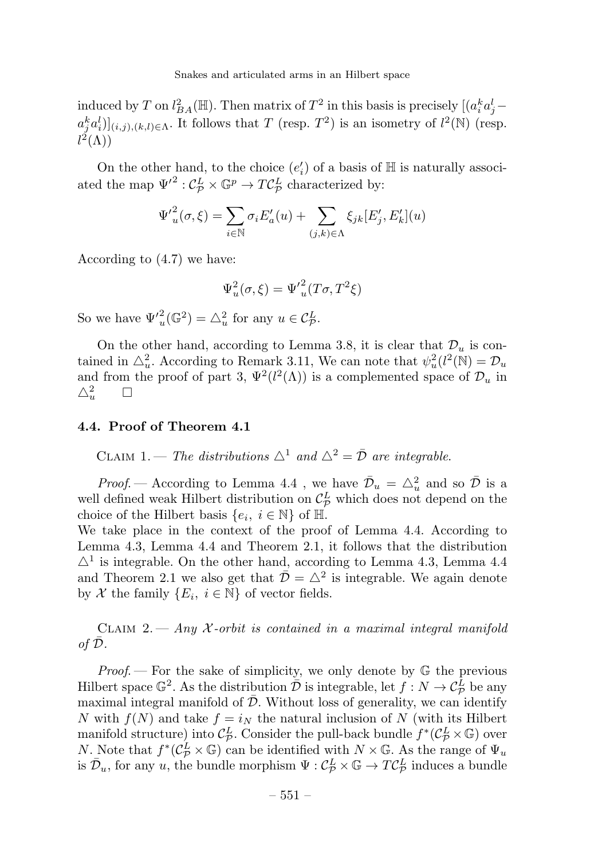induced by T on  $l_{BA}^2(\mathbb{H})$ . Then matrix of  $T^2$  in this basis is precisely  $[(a_i^k a_j^l$  $a_j^k a_i^l] |_{(i,j),(k,l)\in\Lambda}$ . It follows that T (resp.  $T^2$ ) is an isometry of  $l^2(\mathbb{N})$  (resp.  $l^2(\Lambda))$ 

On the other hand, to the choice  $(e_i)$  of a basis of  $\mathbb H$  is naturally associated the map  $\Psi'^2$ :  $C^L_{\mathcal{P}} \times \mathbb{G}^p \to T C^L_{\mathcal{P}}$  characterized by:

$$
\Psi'^{2}_{u}(\sigma,\xi) = \sum_{i \in \mathbb{N}} \sigma_i E'_a(u) + \sum_{(j,k) \in \Lambda} \xi_{jk} [E'_j, E'_k](u)
$$

According to (4.7) we have:

$$
\Psi_u^2(\sigma,\xi) = {\Psi'}_u^2(T\sigma,T^2\xi)
$$

So we have  $\Psi'_u(\mathbb{G}^2) = \triangle_u^2$  for any  $u \in \mathcal{C}_{\mathcal{P}}^L$ .

On the other hand, according to Lemma 3.8, it is clear that  $\mathcal{D}_u$  is contained in  $\triangle^2_u$ . According to Remark 3.11, We can note that  $\psi^2_u(l^2(\mathbb{N}) = \mathcal{D}_u$ and from the proof of part 3,  $\Psi^2(l^2(\Lambda))$  is a complemented space of  $\mathcal{D}_u$  in  $\triangle^2_u$  $\Box$ 

#### 4.4. Proof of Theorem 4.1

CLAIM 1. — The distributions  $\triangle^1$  and  $\triangle^2 = \overline{\mathcal{D}}$  are integrable.

*Proof.* — According to Lemma 4.4, we have  $\bar{\mathcal{D}}_u = \triangle_u^2$  and so  $\bar{\mathcal{D}}$  is a well defined weak Hilbert distribution on  $C_{\mathcal{P}}^L$  which does not depend on the choice of the Hilbert basis  $\{e_i, i \in \mathbb{N}\}\$  of  $\mathbb{H}$ .

We take place in the context of the proof of Lemma 4.4. According to Lemma 4.3, Lemma 4.4 and Theorem 2.1, it follows that the distribution  $\Delta^1$  is integrable. On the other hand, according to Lemma 4.3, Lemma 4.4 and Theorem 2.1 we also get that  $\bar{\mathcal{D}} = \Delta^2$  is integrable. We again denote by X the family  $\{E_i, i \in \mathbb{N}\}\$  of vector fields.

CLAIM 2. — Any X-orbit is contained in a maximal integral manifold of  $\bar{\mathcal{D}}$ .

*Proof.* – For the sake of simplicity, we only denote by  $\mathbb{G}$  the previous Hilbert space  $\mathbb{G}^2$ . As the distribution  $\overline{\mathcal{D}}$  is integrable, let  $f: N \to \mathcal{C}_{\mathcal{P}}^L$  be any maximal integral manifold of  $\overline{\mathcal{D}}$ . Without loss of generality, we can identify N with  $f(N)$  and take  $f = i_N$  the natural inclusion of N (with its Hilbert manifold structure) into  $\mathcal{C}_{\mathcal{P}}^L$ . Consider the pull-back bundle  $f^*(\mathcal{C}_{\mathcal{P}}^L \times \mathbb{G})$  over N. Note that  $f^*(\mathcal{C}_{\mathcal{P}}^L \times \mathbb{G})$  can be identified with  $N \times \mathbb{G}$ . As the range of  $\Psi_u$ is  $\bar{\mathcal{D}}_u$ , for any u, the bundle morphism  $\Psi : \mathcal{C}_{\mathcal{P}}^L \times \mathbb{G} \to T\mathcal{C}_{\mathcal{P}}^L$  induces a bundle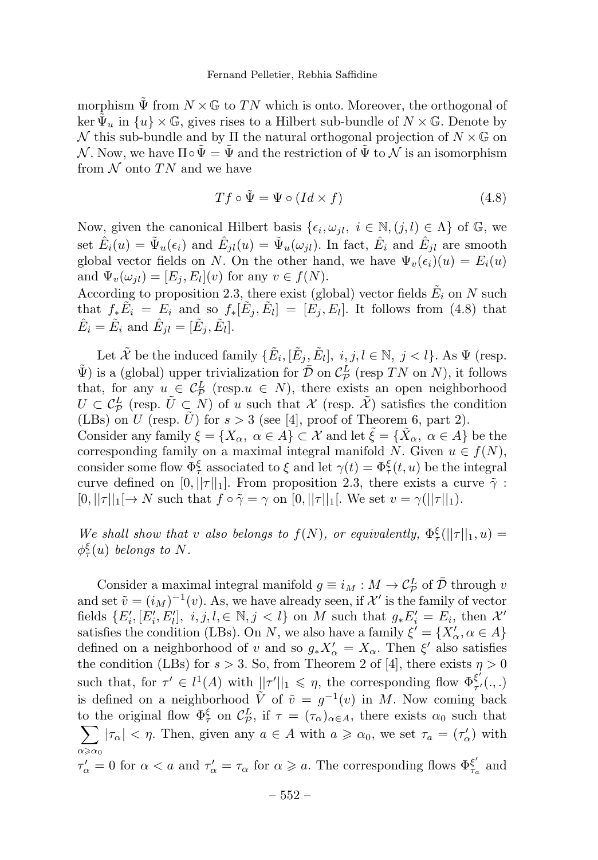morphism  $\tilde{\Psi}$  from  $N \times \mathbb{G}$  to TN which is onto. Moreover, the orthogonal of ker  $\Psi_u$  in  $\{u\}\times\mathbb{G}$ , gives rises to a Hilbert sub-bundle of  $N\times\mathbb{G}$ . Denote by N this sub-bundle and by  $\Pi$  the natural orthogonal projection of  $N \times \mathbb{G}$  on  $\mathcal N$ . Now, we have  $\Pi \circ \Psi = \Psi$  and the restriction of  $\Psi$  to  $\mathcal N$  is an isomorphism from  $N$  onto TN and we have

$$
Tf \circ \tilde{\Psi} = \Psi \circ (Id \times f) \tag{4.8}
$$

Now, given the canonical Hilbert basis  $\{\epsilon_i, \omega_{il}, i \in \mathbb{N}, (j, l) \in \Lambda\}$  of  $\mathbb{G}$ , we set  $\hat{E}_i(u) = \tilde{\Psi}_u(\epsilon_i)$  and  $\hat{E}_{il}(u) = \tilde{\Psi}_u(\omega_{il})$ . In fact,  $\hat{E}_i$  and  $\hat{E}_{il}$  are smooth global vector fields on N. On the other hand, we have  $\Psi_v(\epsilon_i)(u) = E_i(u)$ and  $\Psi_v(\omega_{il})=[E_j , E_l](v)$  for any  $v \in f(N)$ .

According to proposition 2.3, there exist (global) vector fields  $E_i$  on N such that  $f_*\tilde{E}_i = E_i$  and so  $f_*[\tilde{E}_i, \tilde{E}_i] = [E_i, E_i]$ . It follows from (4.8) that  $\hat{E}_i = \tilde{E}_i$  and  $\hat{E}_{il} = [\tilde{E}_i, \tilde{E}_l].$ 

Let  $\tilde{\mathcal{X}}$  be the induced family  $\{\tilde{E}_i, [\tilde{E}_j, \tilde{E}_l], i, j, l \in \mathbb{N}, j < l\}$ . As  $\Psi$  (resp.  $\tilde{\Psi}$ ) is a (global) upper trivialization for  $\bar{\mathcal{D}}$  on  $\mathcal{C}_{\mathcal{P}}^{L}$  (resp TN on N), it follows that, for any  $u \in C^L$  (resp. $u \in N$ ), there exists an open neighborhood  $U \subset \mathcal{C}_{\mathcal{P}}^L$  (resp.  $\tilde{U} \subset N$ ) of u such that  $\mathcal{X}$  (resp.  $\tilde{\mathcal{X}}$ ) satisfies the condition (LBs) on U (resp.  $\tilde{U}$ ) for  $s > 3$  (see [4], proof of Theorem 6, part 2). Consider any family  $\xi = \{X_\alpha, \alpha \in A\} \subset \mathcal{X}$  and let  $\tilde{\xi} = \{\tilde{X}_\alpha, \alpha \in A\}$  be the corresponding family on a maximal integral manifold N. Given  $u \in f(N)$ , consider some flow  $\Phi_{\tau}^{\xi}$  associated to  $\xi$  and let  $\gamma(t)=\Phi_{\tau}^{\xi}(t,u)$  be the integral curve defined on  $[0, ||\tau||_1]$ . From proposition 2.3, there exists a curve  $\tilde{\gamma}$ :  $[0, ||\tau||_1 \rightarrow N$  such that  $f \circ \tilde{\gamma} = \gamma$  on  $[0, ||\tau||_1$ . We set  $v = \gamma(||\tau||_1)$ .

We shall show that v also belongs to  $f(N)$ , or equivalently,  $\Phi_{\tau}^{\xi}(\|\tau\|_1, u) =$  $\phi_{\tau}^{\xi}(u)$  belongs to N.

Consider a maximal integral manifold  $g \equiv i_M : M \to \mathcal{C}_P^L$  of  $\overline{\mathcal{D}}$  through v and set  $\tilde{v} = (i_M)^{-1}(v)$ . As, we have already seen, if X' is the family of vector fields  $\{E'_i, [E'_i, E'_i], i, j, l, \in \mathbb{N}, j < l\}$  on M such that  $g_* E'_i = E_i$ , then X' satisfies the condition (LBs). On N, we also have a family  $\xi' = \{X'_\alpha, \alpha \in A\}$ defined on a neighborhood of v and so  $g_* X'_\n\alpha = X_\alpha$ . Then  $\xi'$  also satisfies the condition (LBs) for  $s > 3$ . So, from Theorem 2 of [4], there exists  $\eta > 0$ such that, for  $\tau' \in l^1(A)$  with  $||\tau'||_1 \leq \eta$ , the corresponding flow  $\Phi_{\tau'}^{\xi'}(.,.)$ is defined on a neighborhood  $\tilde{V}$  of  $\tilde{v} = g^{-1}(v)$  in M. Now coming back to the original flow  $\Phi_{\tau}^{\xi}$  on  $\mathcal{C}_{\mathcal{P}}^{L}$ , if  $\tau = (\tau_{\alpha})_{\alpha \in A}$ , there exists  $\alpha_0$  such that  $\sum |\tau_{\alpha}| < \eta$ . Then, given any  $a \in A$  with  $a \geq \alpha_0$ , we set  $\tau_a = (\tau_{\alpha}')$  with  $\alpha$  $\alpha_0$  $\tau'_{\alpha} = 0$  for  $\alpha < a$  and  $\tau'_{\alpha} = \tau_{\alpha}$  for  $\alpha \geq a$ . The corresponding flows  $\Phi_{\tau_a}^{\xi'}$  and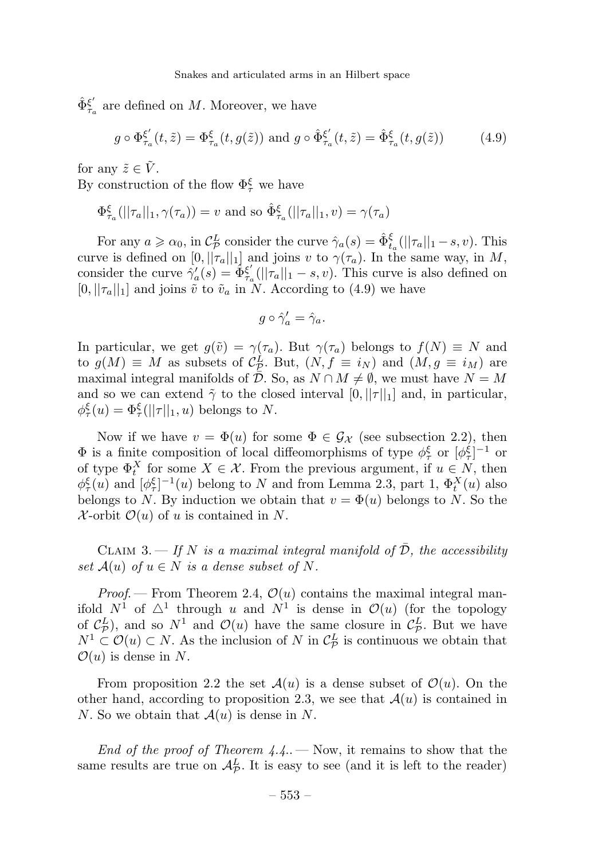$\hat{\Phi}_{\tau_a}^{\xi'}$  are defined on M. Moreover, we have

$$
g \circ \Phi_{\tau_a}^{\xi'}(t,\tilde{z}) = \Phi_{\tau_a}^{\xi}(t,g(\tilde{z})) \text{ and } g \circ \hat{\Phi}_{\tau_a}^{\xi'}(t,\tilde{z}) = \hat{\Phi}_{\tau_a}^{\xi}(t,g(\tilde{z})) \tag{4.9}
$$

for any  $\tilde{z} \in \tilde{V}$ .

By construction of the flow  $\Phi_{\tau}^{\xi}$  we have

$$
\Phi_{\tau_a}^{\xi}(||\tau_a||_1, \gamma(\tau_a)) = v \text{ and so } \hat{\Phi}_{\tau_a}^{\xi}(||\tau_a||_1, v) = \gamma(\tau_a)
$$

For any  $a \geqslant \alpha_0$ , in  $\mathcal{C}_{\mathcal{P}}^L$  consider the curve  $\hat{\gamma}_a(s) = \hat{\Phi}_{t_a}^{\xi}(\|\tau_a\|_1 - s, v)$ . This curve is defined on  $[0, ||\tau_a||_1]$  and joins v to  $\gamma(\tau_a)$ . In the same way, in M, consider the curve  $\hat{\gamma}'_a(s) = \hat{\Phi}^{\xi'}_{\tau_a}(||\tau_a||_1 - s, v)$ . This curve is also defined on  $[0, ||\tau_a||_1]$  and joins  $\tilde{v}$  to  $\tilde{v}_a$  in N. According to (4.9) we have

$$
g\circ\hat{\gamma}'_a=\hat{\gamma}_a.
$$

In particular, we get  $g(\tilde{v}) = \gamma(\tau_a)$ . But  $\gamma(\tau_a)$  belongs to  $f(N) \equiv N$  and to  $g(M) \equiv M$  as subsets of  $C_{\mathcal{D}}^L$ . But,  $(N, f \equiv i_N)$  and  $(M, g \equiv i_M)$  are maximal integral manifolds of  $\overline{\mathcal{D}}$ . So, as  $N \cap M \neq \emptyset$ , we must have  $N = M$ and so we can extend  $\tilde{\gamma}$  to the closed interval  $[0, ||\tau||_1]$  and, in particular,  $\phi_{\tau}^{\xi}(u) = \Phi_{\tau}^{\xi}(||\tau||_1, u)$  belongs to N.

Now if we have  $v = \Phi(u)$  for some  $\Phi \in \mathcal{G}_{\mathcal{X}}$  (see subsection 2.2), then  $\Phi$  is a finite composition of local diffeomorphisms of type  $\phi_{\tau}^{\xi}$  or  $[\phi_{\tau}^{\xi}]^{-1}$  or of type  $\Phi_t^X$  for some  $X \in \mathcal{X}$ . From the previous argument, if  $u \in N$ , then  $\phi_{\tau}^{\xi}(u)$  and  $[\phi_{\tau}^{\xi}]^{-1}(u)$  belong to N and from Lemma 2.3, part 1,  $\Phi_t^X(u)$  also belongs to N. By induction we obtain that  $v = \Phi(u)$  belongs to N. So the  $\mathcal{X}$ -orbit  $\mathcal{O}(u)$  of u is contained in N.

CLAIM 3. — If N is a maximal integral manifold of  $\overline{\mathcal{D}}$ , the accessibility set  $\mathcal{A}(u)$  of  $u \in N$  is a dense subset of N.

*Proof.* – From Theorem 2.4,  $\mathcal{O}(u)$  contains the maximal integral manifold  $N^1$  of  $\Delta^1$  through u and  $N^1$  is dense in  $\mathcal{O}(u)$  (for the topology of  $C_{\mathcal{P}}^{L}$ , and so  $N^1$  and  $\mathcal{O}(u)$  have the same closure in  $C_{\mathcal{P}}^{L}$ . But we have  $N^1 \subset \mathcal{O}(u) \subset N$ . As the inclusion of N in  $\mathcal{C}_{\mathcal{P}}^L$  is continuous we obtain that  $\mathcal{O}(u)$  is dense in N.

From proposition 2.2 the set  $\mathcal{A}(u)$  is a dense subset of  $\mathcal{O}(u)$ . On the other hand, according to proposition 2.3, we see that  $\mathcal{A}(u)$  is contained in N. So we obtain that  $\mathcal{A}(u)$  is dense in N.

End of the proof of Theorem  $4.4.$  – Now, it remains to show that the same results are true on  $\mathcal{A}_{\mathcal{P}}^{L}$ . It is easy to see (and it is left to the reader)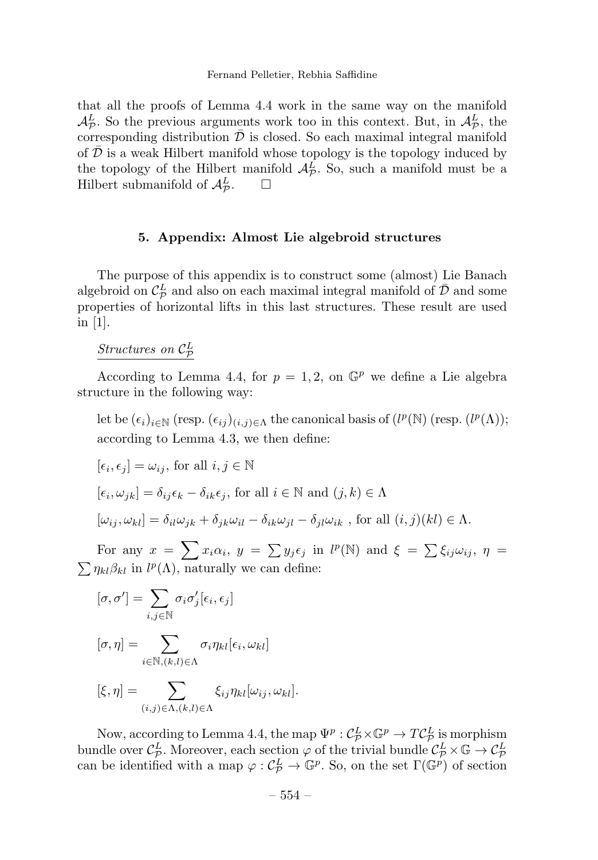that all the proofs of Lemma 4.4 work in the same way on the manifold  $\mathcal{A}_{\mathcal{P}}^{L}$ . So the previous arguments work too in this context. But, in  $\mathcal{A}_{\mathcal{P}}^{L}$ , the corresponding distribution  $\bar{\mathcal{D}}$  is closed. So each maximal integral manifold of  $\mathcal D$  is a weak Hilbert manifold whose topology is the topology induced by the topology of the Hilbert manifold  $\mathcal{A}_{\mathcal{P}}^{L}$ . So, such a manifold must be a Hilbert submanifold of  $\mathcal{A}_{\mathcal{P}}^{L}$ .  $\Box$ 

#### 5. Appendix: Almost Lie algebroid structures

The purpose of this appendix is to construct some (almost) Lie Banach algebroid on  $\mathcal{C}_{\mathcal{P}}^L$  and also on each maximal integral manifold of  $\bar{\mathcal{D}}$  and some properties of horizontal lifts in this last structures. These result are used in [1].

Structures on  $\mathcal{C}_{\mathcal{P}}^{L}$ 

According to Lemma 4.4, for  $p = 1, 2$ , on  $\mathbb{G}^p$  we define a Lie algebra structure in the following way:

let be  $(\epsilon_i)_{i\in\mathbb{N}}$  (resp.  $(\epsilon_{ij})_{(i,j)\in\Lambda}$  the canonical basis of  $(l^p(\mathbb{N})$  (resp.  $(l^p(\Lambda))$ ; according to Lemma 4.3, we then define:

$$
[\epsilon_i, \epsilon_j] = \omega_{ij}, \text{ for all } i, j \in \mathbb{N}
$$
  

$$
[\epsilon_i, \omega_{jk}] = \delta_{ij}\epsilon_k - \delta_{ik}\epsilon_j, \text{ for all } i \in \mathbb{N} \text{ and } (j, k) \in \Lambda
$$
  

$$
[\omega_{ij}, \omega_{kl}] = \delta_{il}\omega_{jk} + \delta_{jk}\omega_{il} - \delta_{ik}\omega_{jl} - \delta_{jl}\omega_{ik}, \text{ for all } (i, j)(kl) \in \Lambda.
$$

For any  $x = \sum x_i \alpha_i$ ,  $y = \sum y_j \epsilon_j$  in  $l^p(\mathbb{N})$  and  $\xi = \sum \xi_{ij} \omega_{ij}$ ,  $\eta =$  $\sum \eta_{kl} \beta_{kl}$  in  $l^p(\Lambda)$ , naturally we can define:

$$
[\sigma,\sigma']=\sum_{i,j\in\mathbb{N}}\sigma_i\sigma'_j[\epsilon_i,\epsilon_j]
$$

$$
[\sigma,\eta] = \sum_{i \in \mathbb{N}, (k,l) \in \Lambda} \sigma_i \eta_{kl}[\epsilon_i, \omega_{kl}]
$$

$$
[\xi,\eta] = \sum_{(i,j)\in\Lambda,(k,l)\in\Lambda} \xi_{ij}\eta_{kl}[\omega_{ij},\omega_{kl}].
$$

Now, according to Lemma 4.4, the map  $\Psi^p : C^L_{\mathcal{P}} \times \mathbb{G}^p \to T C^L_{\mathcal{P}}$  is morphism bundle over  $\mathcal{C}_{\mathcal{P}}^L$ . Moreover, each section  $\varphi$  of the trivial bundle  $\mathcal{C}_{\mathcal{P}}^L \times \mathbb{G} \to \mathcal{C}_{\mathcal{P}}^L$ can be identified with a map  $\varphi : C_P^L \to \mathbb{G}^p$ . So, on the set  $\Gamma(\mathbb{G}^p)$  of section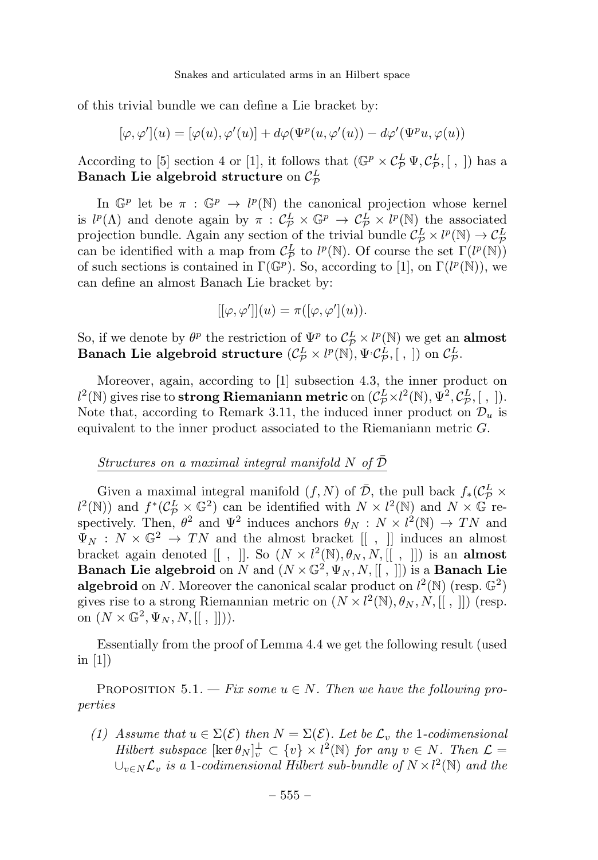of this trivial bundle we can define a Lie bracket by:

$$
[\varphi,\varphi'](u)=[\varphi(u),\varphi'(u)]+d\varphi(\Psi^p(u,\varphi'(u))-d\varphi'(\Psi^pu,\varphi(u))
$$

According to [5] section 4 or [1], it follows that  $(\mathbb{G}^p \times C^L_{\mathcal{P}} \Psi, C^L_{\mathcal{P}}, [ , ])$  has a Banach Lie algebroid structure on  $\mathcal{C}_{\mathcal{P}}^L$ 

In  $\mathbb{G}^p$  let be  $\pi : \mathbb{G}^p \to l^p(\mathbb{N})$  the canonical projection whose kernel is  $l^p(\Lambda)$  and denote again by  $\pi : C^L_{\mathcal{P}} \times \mathbb{G}^p \to C^L_{\mathcal{P}} \times l^p(\mathbb{N})$  the associated projection bundle. Again any section of the trivial bundle  $C^L_{\mathcal{P}} \times l^p(\mathbb{N}) \to C^L_{\mathcal{P}}$ For the identified with a map from  $C_p^L$  to  $l^p(\mathbb{N})$ . Of course the set  $\Gamma(l^p(\mathbb{N}))$ of such sections is contained in  $\Gamma(\mathbb{G}^p)$ . So, according to [1], on  $\Gamma(l^p(\mathbb{N}))$ , we can define an almost Banach Lie bracket by:

$$
[[\varphi, \varphi']](u) = \pi([\varphi, \varphi'](u)).
$$

So, if we denote by  $\theta^p$  the restriction of  $\Psi^p$  to  $C^L_p \times l^p(\mathbb{N})$  we get an **almost** Banach Lie algebroid structure  $(\mathcal{C}_{\mathcal{P}}^L \times l^p(\mathbb{N}), \Psi \cdot \mathcal{C}_{\mathcal{P}}^L, [~,~])$  on  $\mathcal{C}_{\mathcal{P}}^L$ .

Moreover, again, according to  $[1]$  subsection 4.3, the inner product on  $l^2(\mathbb{N})$  gives rise to **strong Riemaniann metric** on  $(\mathcal{C}_{\mathcal{P}}^L \times l^2(\mathbb{N}), \Psi^2, \mathcal{C}_{\mathcal{P}}^L, [$ ,  $]).$ Note that, according to Remark 3.11, the induced inner product on  $\mathcal{D}_u$  is equivalent to the inner product associated to the Riemaniann metric G.

#### Structures on a maximal integral manifold  $N$  of  $D$

Given a maximal integral manifold  $(f, N)$  of  $\overline{D}$ , the pull back  $f_*(\mathcal{C}_{\overline{P}}^L \times$  $l^2(\mathbb{N})$  and  $f^*(\mathcal{C}_{\mathcal{P}}^L \times \mathbb{G}^2)$  can be identified with  $N \times l^2(\mathbb{N})$  and  $N \times \mathbb{G}$  respectively. Then,  $\theta^2$  and  $\Psi^2$  induces anchors  $\theta_N : N \times l^2(\mathbb{N}) \to TN$  and  $\Psi_N$ :  $N \times \mathbb{G}^2 \to TN$  and the almost bracket  $[[, ]]$  induces an almost bracket again denoted  $[[ , ]]$ . So  $(N \times l^2(\mathbb{N}), \theta_N, N, [[ , ]])$  is an almost **Banach Lie algebroid** on N and  $(N \times \mathbb{G}^2, \Psi_N, N, ||, ||)$  is a **Banach Lie** algebroid on N. Moreover the canonical scalar product on  $l^2(\mathbb{N})$  (resp.  $\mathbb{G}^2$ ) gives rise to a strong Riemannian metric on  $(N \times l^2(\mathbb{N}), \theta_N, N, [[, ]])$  (resp. on  $(N \times \mathbb{G}^2, \Psi_N, N, [[, ] ])).$ 

Essentially from the proof of Lemma 4.4 we get the following result (used in  $[1]$ 

PROPOSITION 5.1. — Fix some  $u \in N$ . Then we have the following properties

(1) Assume that  $u \in \Sigma(\mathcal{E})$  then  $N = \Sigma(\mathcal{E})$ . Let be  $\mathcal{L}_v$  the 1-codimensional Hilbert subspace  $[\ker \theta_N]_v^{\perp} \subset \{v\} \times l^2(\mathbb{N})$  for any  $v \in N$ . Then  $\mathcal{L} =$  $\cup_{v \in N} \mathcal{L}_v$  is a 1-codimensional Hilbert sub-bundle of  $N \times l^2(\mathbb{N})$  and the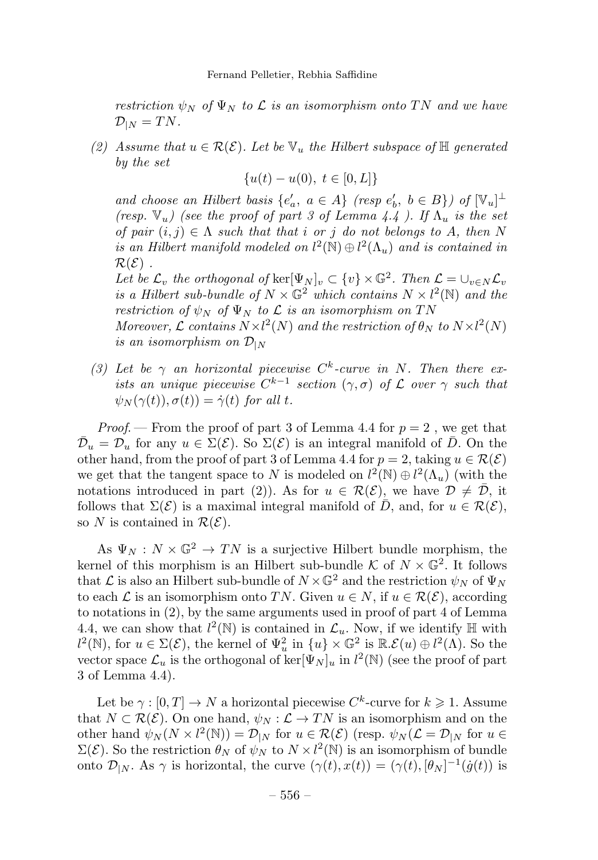restriction  $\psi_N$  of  $\Psi_N$  to  $\mathcal L$  is an isomorphism onto TN and we have  $\mathcal{D}_{|N} = TN.$ 

(2) Assume that  $u \in \mathcal{R}(\mathcal{E})$ . Let be  $\mathbb{V}_u$  the Hilbert subspace of  $\mathbb{H}$  generated by the set

$$
\{u(t) - u(0), \ t \in [0, L]\}
$$

and choose an Hilbert basis  $\{e'_a, a \in A\}$  (resp  $e'_b, b \in B\}$ ) of  $[\mathbb{V}_u]$ <sup> $\perp$ </sup> (resp.  $\mathbb{V}_u$ ) (see the proof of part 3 of Lemma 4.4). If  $\Lambda_u$  is the set of pair  $(i, j) \in \Lambda$  such that that i or j do not belongs to A, then N is an Hilbert manifold modeled on  $l^2(\mathbb{N}) \oplus l^2(\Lambda_u)$  and is contained in  $\mathcal{R}(\mathcal{E})$ .

Let be  $\mathcal{L}_v$  the orthogonal of  $\ker[\Psi_N]_v \subset \{v\} \times \mathbb{G}^2$ . Then  $\mathcal{L} = \bigcup_{v \in N} \mathcal{L}_v$ is a Hilbert sub-bundle of  $N \times \mathbb{G}^2$  which contains  $N \times l^2(\mathbb{N})$  and the restriction of  $\psi_N$  of  $\Psi_N$  to  $\mathcal L$  is an isomorphism on TN

Moreover,  $\mathcal L$  contains  $N \times l^2(N)$  and the restriction of  $\theta_N$  to  $N \times l^2(N)$ is an isomorphism on  $\mathcal{D}_{|N}$ 

(3) Let be  $\gamma$  an horizontal piecewise  $C^k$ -curve in N. Then there exists an unique piecewise  $C^{k-1}$  section  $(\gamma, \sigma)$  of  $\mathcal L$  over  $\gamma$  such that  $\psi_N(\gamma(t)), \sigma(t)) = \dot{\gamma}(t)$  for all t.

*Proof.* – From the proof of part 3 of Lemma 4.4 for  $p = 2$ , we get that  $\overline{\mathcal{D}}_u = \mathcal{D}_u$  for any  $u \in \Sigma(\mathcal{E})$ . So  $\Sigma(\mathcal{E})$  is an integral manifold of  $\overline{D}$ . On the other hand, from the proof of part 3 of Lemma 4.4 for  $p = 2$ , taking  $u \in \mathcal{R}(\mathcal{E})$ we get that the tangent space to N is modeled on  $l^2(\mathbb{N}) \oplus l^2(\Lambda_u)$  (with the notations introduced in part (2)). As for  $u \in \mathcal{R}(\mathcal{E})$ , we have  $\mathcal{D} \neq \overline{\mathcal{D}}$ , it follows that  $\Sigma(\mathcal{E})$  is a maximal integral manifold of  $\overline{D}$ , and, for  $u \in \mathcal{R}(\mathcal{E})$ , so N is contained in  $\mathcal{R}(\mathcal{E})$ .

As  $\Psi_N : N \times \mathbb{G}^2 \to TN$  is a surjective Hilbert bundle morphism, the kernel of this morphism is an Hilbert sub-bundle  $K$  of  $N \times \mathbb{G}^2$ . It follows that  $\mathcal L$  is also an Hilbert sub-bundle of  $N \times \mathbb G^2$  and the restriction  $\psi_N$  of  $\Psi_N$ to each  $\mathcal L$  is an isomorphism onto TN. Given  $u \in N$ , if  $u \in \mathcal R(\mathcal E)$ , according to notations in (2), by the same arguments used in proof of part 4 of Lemma 4.4, we can show that  $l^2(\mathbb{N})$  is contained in  $\mathcal{L}_u$ . Now, if we identify  $\mathbb{H}$  with  $l^2(\mathbb{N})$ , for  $u \in \Sigma(\mathcal{E})$ , the kernel of  $\Psi_u^2$  in  $\{u\} \times \mathbb{G}^2$  is  $\mathbb{R}\mathscr{E}(u) \oplus l^2(\Lambda)$ . So the vector space  $\mathcal{L}_u$  is the orthogonal of ker $[\Psi_N]_u$  in  $l^2(\mathbb{N})$  (see the proof of part 3 of Lemma 4.4).

Let be  $\gamma : [0, T] \to N$  a horizontal piecewise  $C^k$ -curve for  $k \geq 1$ . Assume that  $N \subset \mathcal{R}(\mathcal{E})$ . On one hand,  $\psi_N : \mathcal{L} \to TN$  is an isomorphism and on the other hand  $\psi_N(N \times l^2(\mathbb{N})) = \mathcal{D}_{|N}$  for  $u \in \mathcal{R}(\mathcal{E})$  (resp.  $\psi_N(\mathcal{L} = \mathcal{D}_{|N})$  for  $u \in$  $\Sigma(\mathcal{E})$ . So the restriction  $\theta_N$  of  $\psi_N$  to  $N \times l^2(\mathbb{N})$  is an isomorphism of bundle onto  $\mathcal{D}_{|N}$ . As  $\gamma$  is horizontal, the curve  $(\gamma(t), x(t)) = (\gamma(t), [\theta_N]^{-1}(\dot{g}(t))$  is